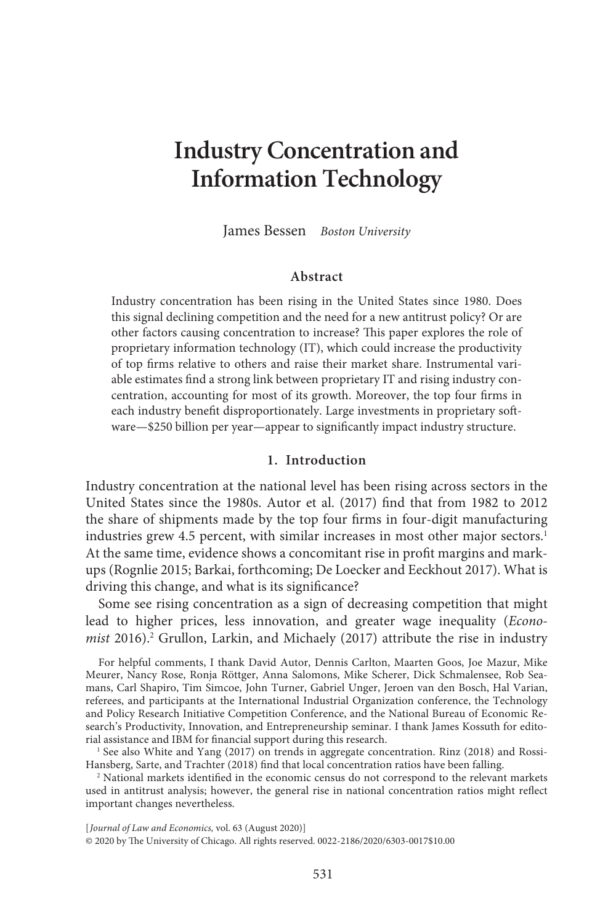# **Industry Concentration and Information Technology**

James Bessen *Boston University*

# **Abstract**

Industry concentration has been rising in the United States since 1980. Does this signal declining competition and the need for a new antitrust policy? Or are other factors causing concentration to increase? This paper explores the role of proprietary information technology (IT), which could increase the productivity of top firms relative to others and raise their market share. Instrumental variable estimates find a strong link between proprietary IT and rising industry concentration, accounting for most of its growth. Moreover, the top four firms in each industry benefit disproportionately. Large investments in proprietary software—\$250 billion per year—appear to significantly impact industry structure.

## **1. Introduction**

Industry concentration at the national level has been rising across sectors in the United States since the 1980s. Autor et al. (2017) find that from 1982 to 2012 the share of shipments made by the top four firms in four-digit manufacturing industries grew 4.5 percent, with similar increases in most other major sectors.<sup>1</sup> At the same time, evidence shows a concomitant rise in profit margins and markups (Rognlie 2015; Barkai, forthcoming; De Loecker and Eeckhout 2017). What is driving this change, and what is its significance?

Some see rising concentration as a sign of decreasing competition that might lead to higher prices, less innovation, and greater wage inequality (*Econo*mist 2016).<sup>2</sup> Grullon, Larkin, and Michaely (2017) attribute the rise in industry

For helpful comments, I thank David Autor, Dennis Carlton, Maarten Goos, Joe Mazur, Mike Meurer, Nancy Rose, Ronja Röttger, Anna Salomons, Mike Scherer, Dick Schmalensee, Rob Seamans, Carl Shapiro, Tim Simcoe, John Turner, Gabriel Unger, Jeroen van den Bosch, Hal Varian, referees, and participants at the International Industrial Organization conference, the Technology and Policy Research Initiative Competition Conference, and the National Bureau of Economic Research's Productivity, Innovation, and Entrepreneurship seminar. I thank James Kossuth for edito-<br>rial assistance and IBM for financial support during this research.

 $1$  See also White and Yang (2017) on trends in aggregate concentration. Rinz (2018) and Rossi-Hansberg, Sarte, and Trachter (2018) find that local concentration ratios have been falling.

<sup>2</sup> National markets identified in the economic census do not correspond to the relevant markets used in antitrust analysis; however, the general rise in national concentration ratios might reflect important changes nevertheless.

[ *Journal of Law and Economics,* vol. 63 (August 2020)] © 2020 by The University of Chicago. All rights reserved. 0022-2186/2020/6303-0017\$10.00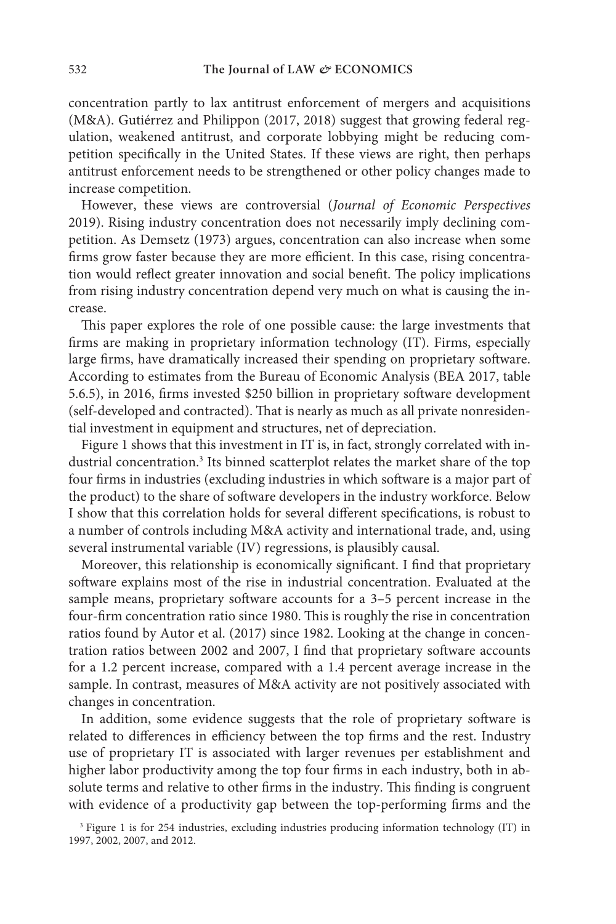concentration partly to lax antitrust enforcement of mergers and acquisitions (M&A). Gutiérrez and Philippon (2017, 2018) suggest that growing federal regulation, weakened antitrust, and corporate lobbying might be reducing competition specifically in the United States. If these views are right, then perhaps antitrust enforcement needs to be strengthened or other policy changes made to increase competition.

However, these views are controversial (*Journal of Economic Perspectives*  2019). Rising industry concentration does not necessarily imply declining competition. As Demsetz (1973) argues, concentration can also increase when some firms grow faster because they are more efficient. In this case, rising concentration would reflect greater innovation and social benefit. The policy implications from rising industry concentration depend very much on what is causing the increase.

This paper explores the role of one possible cause: the large investments that firms are making in proprietary information technology (IT). Firms, especially large firms, have dramatically increased their spending on proprietary software. According to estimates from the Bureau of Economic Analysis (BEA 2017, table 5.6.5), in 2016, firms invested \$250 billion in proprietary software development (self-developed and contracted). That is nearly as much as all private nonresidential investment in equipment and structures, net of depreciation.

Figure 1 shows that this investment in IT is, in fact, strongly correlated with industrial concentration.<sup>3</sup> Its binned scatterplot relates the market share of the top four firms in industries (excluding industries in which software is a major part of the product) to the share of software developers in the industry workforce. Below I show that this correlation holds for several different specifications, is robust to a number of controls including M&A activity and international trade, and, using several instrumental variable (IV) regressions, is plausibly causal.

Moreover, this relationship is economically significant. I find that proprietary software explains most of the rise in industrial concentration. Evaluated at the sample means, proprietary software accounts for a 3–5 percent increase in the four-firm concentration ratio since 1980. This is roughly the rise in concentration ratios found by Autor et al. (2017) since 1982. Looking at the change in concentration ratios between 2002 and 2007, I find that proprietary software accounts for a 1.2 percent increase, compared with a 1.4 percent average increase in the sample. In contrast, measures of M&A activity are not positively associated with changes in concentration.

In addition, some evidence suggests that the role of proprietary software is related to differences in efficiency between the top firms and the rest. Industry use of proprietary IT is associated with larger revenues per establishment and higher labor productivity among the top four firms in each industry, both in absolute terms and relative to other firms in the industry. This finding is congruent with evidence of a productivity gap between the top-performing firms and the

<sup>3</sup> Figure 1 is for 254 industries, excluding industries producing information technology (IT) in 1997, 2002, 2007, and 2012.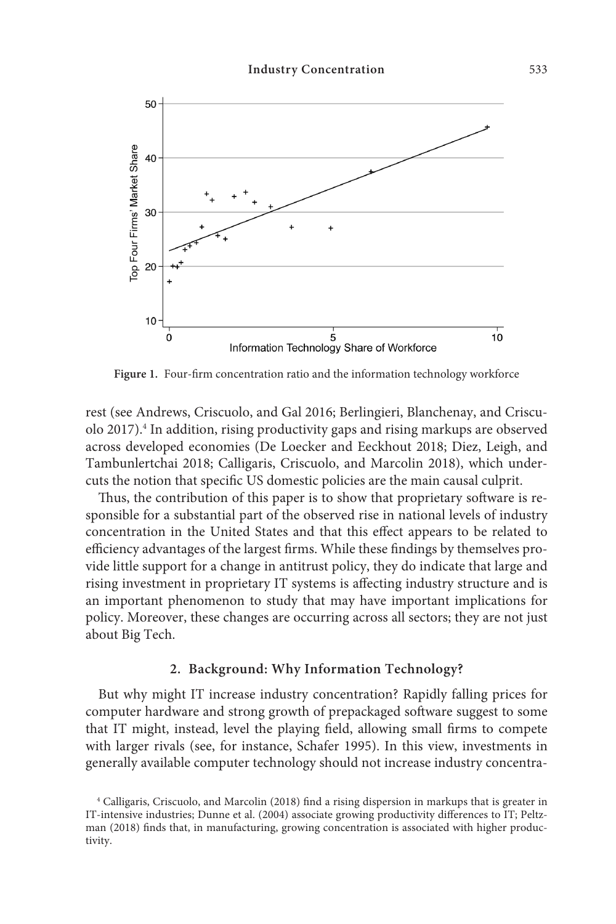

**Figure 1.** Four-firm concentration ratio and the information technology workforce

rest (see Andrews, Criscuolo, and Gal 2016; Berlingieri, Blanchenay, and Criscuolo 2017).<sup>4</sup> In addition, rising productivity gaps and rising markups are observed across developed economies (De Loecker and Eeckhout 2018; Diez, Leigh, and Tambunlertchai 2018; Calligaris, Criscuolo, and Marcolin 2018), which undercuts the notion that specific US domestic policies are the main causal culprit.

Thus, the contribution of this paper is to show that proprietary software is responsible for a substantial part of the observed rise in national levels of industry concentration in the United States and that this effect appears to be related to efficiency advantages of the largest firms. While these findings by themselves provide little support for a change in antitrust policy, they do indicate that large and rising investment in proprietary IT systems is affecting industry structure and is an important phenomenon to study that may have important implications for policy. Moreover, these changes are occurring across all sectors; they are not just about Big Tech.

## **2. Background: Why Information Technology?**

But why might IT increase industry concentration? Rapidly falling prices for computer hardware and strong growth of prepackaged software suggest to some that IT might, instead, level the playing field, allowing small firms to compete with larger rivals (see, for instance, Schafer 1995). In this view, investments in generally available computer technology should not increase industry concentra-

<sup>4</sup> Calligaris, Criscuolo, and Marcolin (2018) find a rising dispersion in markups that is greater in IT-intensive industries; Dunne et al. (2004) associate growing productivity differences to IT; Peltzman (2018) finds that, in manufacturing, growing concentration is associated with higher productivity.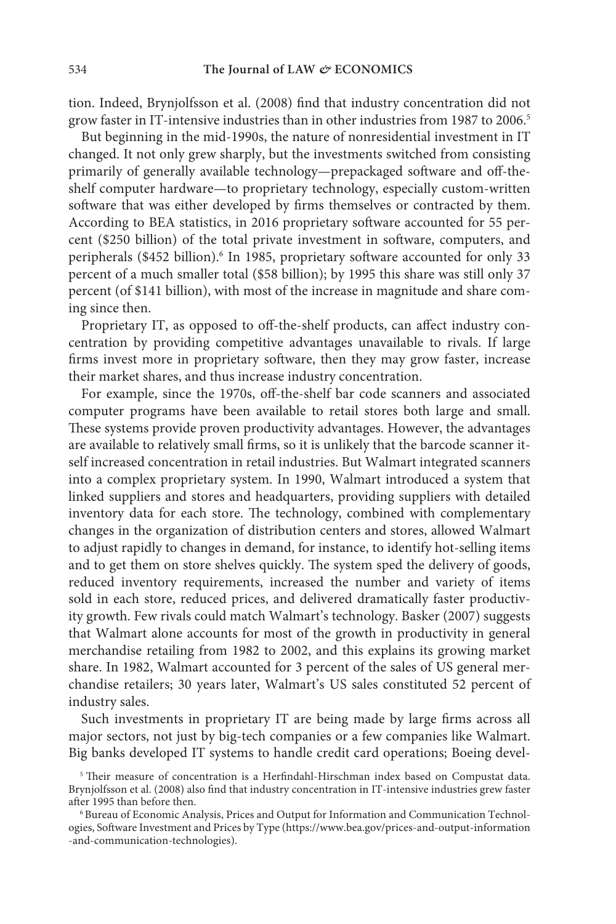tion. Indeed, Brynjolfsson et al. (2008) find that industry concentration did not grow faster in IT-intensive industries than in other industries from 1987 to 2006.<sup>5</sup>

But beginning in the mid-1990s, the nature of nonresidential investment in IT changed. It not only grew sharply, but the investments switched from consisting primarily of generally available technology—prepackaged software and off-theshelf computer hardware—to proprietary technology, especially custom-written software that was either developed by firms themselves or contracted by them. According to BEA statistics, in 2016 proprietary software accounted for 55 percent (\$250 billion) of the total private investment in software, computers, and peripherals (\$452 billion).<sup>6</sup> In 1985, proprietary software accounted for only 33 percent of a much smaller total (\$58 billion); by 1995 this share was still only 37 percent (of \$141 billion), with most of the increase in magnitude and share coming since then.

Proprietary IT, as opposed to off-the-shelf products, can affect industry concentration by providing competitive advantages unavailable to rivals. If large firms invest more in proprietary software, then they may grow faster, increase their market shares, and thus increase industry concentration.

For example, since the 1970s, off-the-shelf bar code scanners and associated computer programs have been available to retail stores both large and small. These systems provide proven productivity advantages. However, the advantages are available to relatively small firms, so it is unlikely that the barcode scanner itself increased concentration in retail industries. But Walmart integrated scanners into a complex proprietary system. In 1990, Walmart introduced a system that linked suppliers and stores and headquarters, providing suppliers with detailed inventory data for each store. The technology, combined with complementary changes in the organization of distribution centers and stores, allowed Walmart to adjust rapidly to changes in demand, for instance, to identify hot-selling items and to get them on store shelves quickly. The system sped the delivery of goods, reduced inventory requirements, increased the number and variety of items sold in each store, reduced prices, and delivered dramatically faster productivity growth. Few rivals could match Walmart's technology. Basker (2007) suggests that Walmart alone accounts for most of the growth in productivity in general merchandise retailing from 1982 to 2002, and this explains its growing market share. In 1982, Walmart accounted for 3 percent of the sales of US general merchandise retailers; 30 years later, Walmart's US sales constituted 52 percent of industry sales.

Such investments in proprietary IT are being made by large firms across all major sectors, not just by big-tech companies or a few companies like Walmart. Big banks developed IT systems to handle credit card operations; Boeing devel-

<sup>5</sup> Their measure of concentration is a Herfindahl-Hirschman index based on Compustat data. Brynjolfsson et al. (2008) also find that industry concentration in IT-intensive industries grew faster after 1995 than before then.

<sup>6</sup> Bureau of Economic Analysis, Prices and Output for Information and Communication Technologies, Software Investment and Prices by Type (https://www.bea.gov/prices-and-output-information -and-communication-technologies).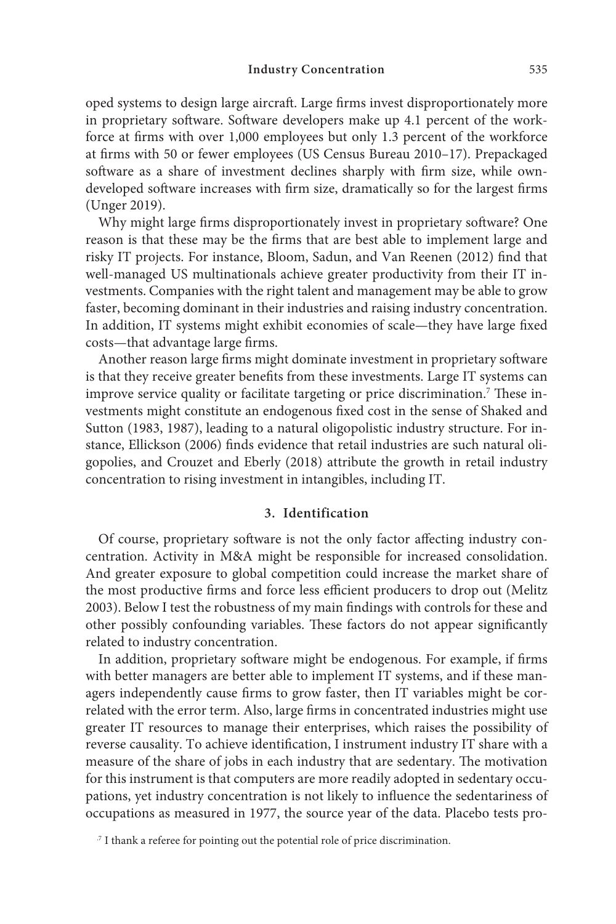oped systems to design large aircraft. Large firms invest disproportionately more in proprietary software. Software developers make up 4.1 percent of the workforce at firms with over 1,000 employees but only 1.3 percent of the workforce at firms with 50 or fewer employees (US Census Bureau 2010–17). Prepackaged software as a share of investment declines sharply with firm size, while owndeveloped software increases with firm size, dramatically so for the largest firms (Unger 2019).

Why might large firms disproportionately invest in proprietary software? One reason is that these may be the firms that are best able to implement large and risky IT projects. For instance, Bloom, Sadun, and Van Reenen (2012) find that well-managed US multinationals achieve greater productivity from their IT investments. Companies with the right talent and management may be able to grow faster, becoming dominant in their industries and raising industry concentration. In addition, IT systems might exhibit economies of scale—they have large fixed costs—that advantage large firms.

Another reason large firms might dominate investment in proprietary software is that they receive greater benefits from these investments. Large IT systems can improve service quality or facilitate targeting or price discrimination.<sup>7</sup> These investments might constitute an endogenous fixed cost in the sense of Shaked and Sutton (1983, 1987), leading to a natural oligopolistic industry structure. For instance, Ellickson (2006) finds evidence that retail industries are such natural oligopolies, and Crouzet and Eberly (2018) attribute the growth in retail industry concentration to rising investment in intangibles, including IT.

## **3. Identification**

Of course, proprietary software is not the only factor affecting industry concentration. Activity in M&A might be responsible for increased consolidation. And greater exposure to global competition could increase the market share of the most productive firms and force less efficient producers to drop out (Melitz 2003). Below I test the robustness of my main findings with controls for these and other possibly confounding variables. These factors do not appear significantly related to industry concentration.

In addition, proprietary software might be endogenous. For example, if firms with better managers are better able to implement IT systems, and if these managers independently cause firms to grow faster, then IT variables might be correlated with the error term. Also, large firms in concentrated industries might use greater IT resources to manage their enterprises, which raises the possibility of reverse causality. To achieve identification, I instrument industry IT share with a measure of the share of jobs in each industry that are sedentary. The motivation for this instrument is that computers are more readily adopted in sedentary occupations, yet industry concentration is not likely to influence the sedentariness of occupations as measured in 1977, the source year of the data. Placebo tests pro-

<sup>.7</sup> I thank a referee for pointing out the potential role of price discrimination.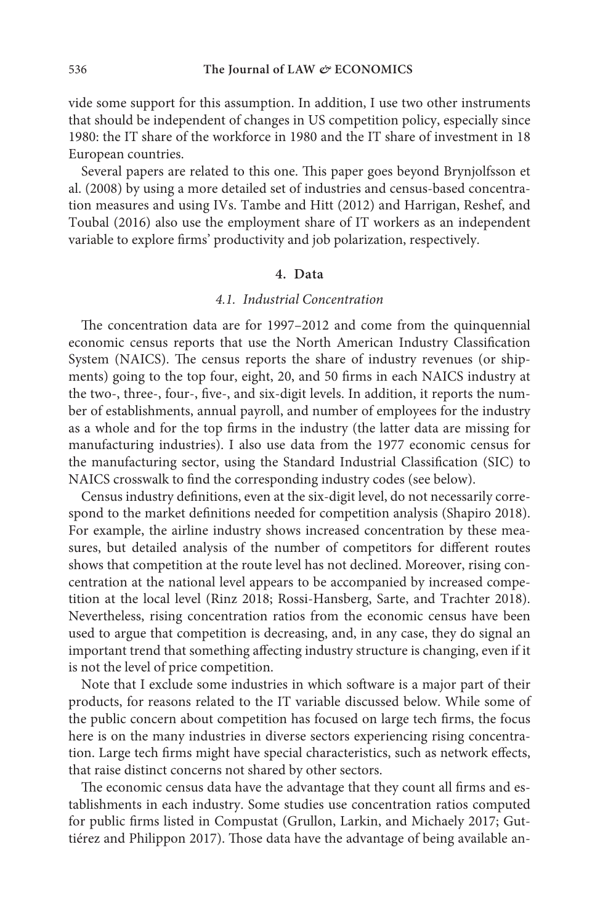vide some support for this assumption. In addition, I use two other instruments that should be independent of changes in US competition policy, especially since 1980: the IT share of the workforce in 1980 and the IT share of investment in 18 European countries.

Several papers are related to this one. This paper goes beyond Brynjolfsson et al. (2008) by using a more detailed set of industries and census-based concentration measures and using IVs. Tambe and Hitt (2012) and Harrigan, Reshef, and Toubal (2016) also use the employment share of IT workers as an independent variable to explore firms' productivity and job polarization, respectively.

#### **4. Data**

#### *4.1. Industrial Concentration*

The concentration data are for 1997–2012 and come from the quinquennial economic census reports that use the North American Industry Classification System (NAICS). The census reports the share of industry revenues (or shipments) going to the top four, eight, 20, and 50 firms in each NAICS industry at the two-, three-, four-, five-, and six-digit levels. In addition, it reports the number of establishments, annual payroll, and number of employees for the industry as a whole and for the top firms in the industry (the latter data are missing for manufacturing industries). I also use data from the 1977 economic census for the manufacturing sector, using the Standard Industrial Classification (SIC) to NAICS crosswalk to find the corresponding industry codes (see below).

Census industry definitions, even at the six-digit level, do not necessarily correspond to the market definitions needed for competition analysis (Shapiro 2018). For example, the airline industry shows increased concentration by these measures, but detailed analysis of the number of competitors for different routes shows that competition at the route level has not declined. Moreover, rising concentration at the national level appears to be accompanied by increased competition at the local level (Rinz 2018; Rossi-Hansberg, Sarte, and Trachter 2018). Nevertheless, rising concentration ratios from the economic census have been used to argue that competition is decreasing, and, in any case, they do signal an important trend that something affecting industry structure is changing, even if it is not the level of price competition.

Note that I exclude some industries in which software is a major part of their products, for reasons related to the IT variable discussed below. While some of the public concern about competition has focused on large tech firms, the focus here is on the many industries in diverse sectors experiencing rising concentration. Large tech firms might have special characteristics, such as network effects, that raise distinct concerns not shared by other sectors.

The economic census data have the advantage that they count all firms and establishments in each industry. Some studies use concentration ratios computed for public firms listed in Compustat (Grullon, Larkin, and Michaely 2017; Guttiérez and Philippon 2017). Those data have the advantage of being available an-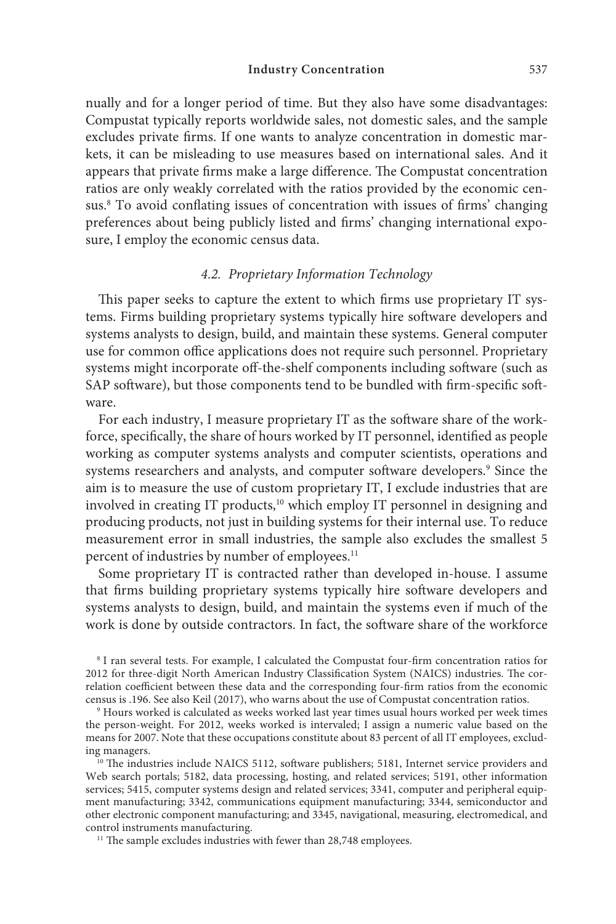nually and for a longer period of time. But they also have some disadvantages: Compustat typically reports worldwide sales, not domestic sales, and the sample excludes private firms. If one wants to analyze concentration in domestic markets, it can be misleading to use measures based on international sales. And it appears that private firms make a large difference. The Compustat concentration ratios are only weakly correlated with the ratios provided by the economic census.8 To avoid conflating issues of concentration with issues of firms' changing preferences about being publicly listed and firms' changing international exposure, I employ the economic census data.

# *4.2. Proprietary Information Technology*

This paper seeks to capture the extent to which firms use proprietary IT systems. Firms building proprietary systems typically hire software developers and systems analysts to design, build, and maintain these systems. General computer use for common office applications does not require such personnel. Proprietary systems might incorporate off-the-shelf components including software (such as SAP software), but those components tend to be bundled with firm-specific software.

For each industry, I measure proprietary IT as the software share of the workforce, specifically, the share of hours worked by IT personnel, identified as people working as computer systems analysts and computer scientists, operations and systems researchers and analysts, and computer software developers.<sup>9</sup> Since the aim is to measure the use of custom proprietary IT, I exclude industries that are involved in creating IT products,<sup>10</sup> which employ IT personnel in designing and producing products, not just in building systems for their internal use. To reduce measurement error in small industries, the sample also excludes the smallest 5 percent of industries by number of employees.<sup>11</sup>

Some proprietary IT is contracted rather than developed in-house. I assume that firms building proprietary systems typically hire software developers and systems analysts to design, build, and maintain the systems even if much of the work is done by outside contractors. In fact, the software share of the workforce

<sup>8</sup> I ran several tests. For example, I calculated the Compustat four-firm concentration ratios for 2012 for three-digit North American Industry Classification System (NAICS) industries. The correlation coefficient between these data and the corresponding four-firm ratios from the economic census is .196. See also Keil (2017), who warns about the use of Compustat concentration ratios.

<sup>9</sup> Hours worked is calculated as weeks worked last year times usual hours worked per week times the person-weight. For 2012, weeks worked is intervaled; I assign a numeric value based on the means for 2007. Note that these occupations constitute about 83 percent of all IT employees, excluding managers.

 $10$  The industries include NAICS 5112, software publishers; 5181, Internet service providers and Web search portals; 5182, data processing, hosting, and related services; 5191, other information services; 5415, computer systems design and related services; 3341, computer and peripheral equipment manufacturing; 3342, communications equipment manufacturing; 3344, semiconductor and other electronic component manufacturing; and 3345, navigational, measuring, electromedical, and control instruments manufacturing.

 $11$  The sample excludes industries with fewer than 28,748 employees.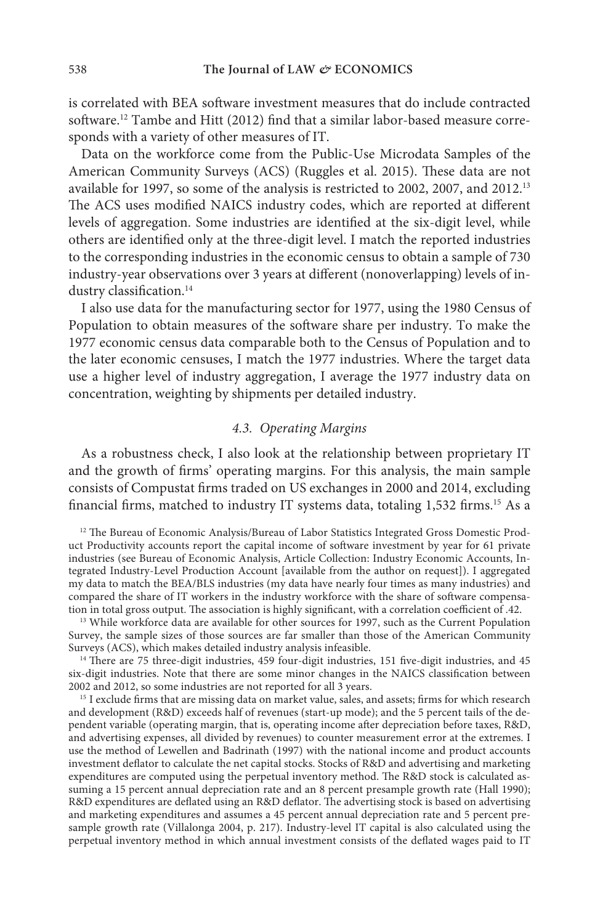is correlated with BEA software investment measures that do include contracted software.<sup>12</sup> Tambe and Hitt (2012) find that a similar labor-based measure corresponds with a variety of other measures of IT.

Data on the workforce come from the Public-Use Microdata Samples of the American Community Surveys (ACS) (Ruggles et al. 2015). These data are not available for 1997, so some of the analysis is restricted to 2002, 2007, and 2012.13 The ACS uses modified NAICS industry codes, which are reported at different levels of aggregation. Some industries are identified at the six-digit level, while others are identified only at the three-digit level. I match the reported industries to the corresponding industries in the economic census to obtain a sample of 730 industry-year observations over 3 years at different (nonoverlapping) levels of industry classification.<sup>14</sup>

I also use data for the manufacturing sector for 1977, using the 1980 Census of Population to obtain measures of the software share per industry. To make the 1977 economic census data comparable both to the Census of Population and to the later economic censuses, I match the 1977 industries. Where the target data use a higher level of industry aggregation, I average the 1977 industry data on concentration, weighting by shipments per detailed industry.

# *4.3. Operating Margins*

As a robustness check, I also look at the relationship between proprietary IT and the growth of firms' operating margins. For this analysis, the main sample consists of Compustat firms traded on US exchanges in 2000 and 2014, excluding financial firms, matched to industry IT systems data, totaling 1,532 firms.<sup>15</sup> As a

<sup>13</sup> While workforce data are available for other sources for 1997, such as the Current Population Survey, the sample sizes of those sources are far smaller than those of the American Community Surveys (ACS), which makes detailed industry analysis infeasible.

<sup>14</sup> There are 75 three-digit industries, 459 four-digit industries, 151 five-digit industries, and 45 six-digit industries. Note that there are some minor changes in the NAICS classification between 2002 and 2012, so some industries are not reported for all 3 years.

<sup>15</sup> I exclude firms that are missing data on market value, sales, and assets; firms for which research and development (R&D) exceeds half of revenues (start-up mode); and the 5 percent tails of the dependent variable (operating margin, that is, operating income after depreciation before taxes, R&D, and advertising expenses, all divided by revenues) to counter measurement error at the extremes. I use the method of Lewellen and Badrinath (1997) with the national income and product accounts investment deflator to calculate the net capital stocks. Stocks of R&D and advertising and marketing expenditures are computed using the perpetual inventory method. The R&D stock is calculated assuming a 15 percent annual depreciation rate and an 8 percent presample growth rate (Hall 1990); R&D expenditures are deflated using an R&D deflator. The advertising stock is based on advertising and marketing expenditures and assumes a 45 percent annual depreciation rate and 5 percent presample growth rate (Villalonga 2004, p. 217). Industry-level IT capital is also calculated using the perpetual inventory method in which annual investment consists of the deflated wages paid to IT

<sup>&</sup>lt;sup>12</sup> The Bureau of Economic Analysis/Bureau of Labor Statistics Integrated Gross Domestic Product Productivity accounts report the capital income of software investment by year for 61 private industries (see Bureau of Economic Analysis, Article Collection: Industry Economic Accounts, Integrated Industry-Level Production Account [available from the author on request]). I aggregated my data to match the BEA/BLS industries (my data have nearly four times as many industries) and compared the share of IT workers in the industry workforce with the share of software compensation in total gross output. The association is highly significant, with a correlation coefficient of .42.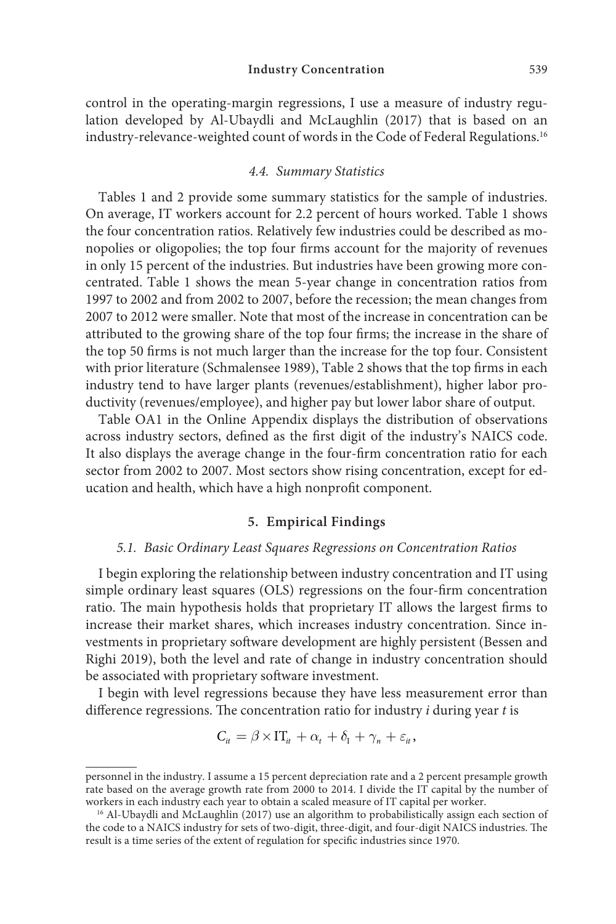control in the operating-margin regressions, I use a measure of industry regulation developed by Al‐Ubaydli and McLaughlin (2017) that is based on an industry-relevance-weighted count of words in the Code of Federal Regulations.<sup>16</sup>

## *4.4. Summary Statistics*

Tables 1 and 2 provide some summary statistics for the sample of industries. On average, IT workers account for 2.2 percent of hours worked. Table 1 shows the four concentration ratios. Relatively few industries could be described as monopolies or oligopolies; the top four firms account for the majority of revenues in only 15 percent of the industries. But industries have been growing more concentrated. Table 1 shows the mean 5-year change in concentration ratios from 1997 to 2002 and from 2002 to 2007, before the recession; the mean changes from 2007 to 2012 were smaller. Note that most of the increase in concentration can be attributed to the growing share of the top four firms; the increase in the share of the top 50 firms is not much larger than the increase for the top four. Consistent with prior literature (Schmalensee 1989), Table 2 shows that the top firms in each industry tend to have larger plants (revenues/establishment), higher labor productivity (revenues/employee), and higher pay but lower labor share of output.

Table OA1 in the Online Appendix displays the distribution of observations across industry sectors, defined as the first digit of the industry's NAICS code. It also displays the average change in the four-firm concentration ratio for each sector from 2002 to 2007. Most sectors show rising concentration, except for education and health, which have a high nonprofit component.

# **5. Empirical Findings**

## *5.1. Basic Ordinary Least Squares Regressions on Concentration Ratios*

I begin exploring the relationship between industry concentration and IT using simple ordinary least squares (OLS) regressions on the four-firm concentration ratio. The main hypothesis holds that proprietary IT allows the largest firms to increase their market shares, which increases industry concentration. Since investments in proprietary software development are highly persistent (Bessen and Righi 2019), both the level and rate of change in industry concentration should be associated with proprietary software investment.

I begin with level regressions because they have less measurement error than difference regressions. The concentration ratio for industry *i* during year *t* is

$$
C_{it} = \beta \times \Pi_{it} + \alpha_t + \delta_1 + \gamma_n + \varepsilon_{it},
$$

personnel in the industry. I assume a 15 percent depreciation rate and a 2 percent presample growth rate based on the average growth rate from 2000 to 2014. I divide the IT capital by the number of workers in each industry each year to obtain a scaled measure of IT capital per worker.

<sup>&</sup>lt;sup>16</sup> Al-Ubaydli and McLaughlin (2017) use an algorithm to probabilistically assign each section of the code to a NAICS industry for sets of two-digit, three-digit, and four-digit NAICS industries. The result is a time series of the extent of regulation for specific industries since 1970.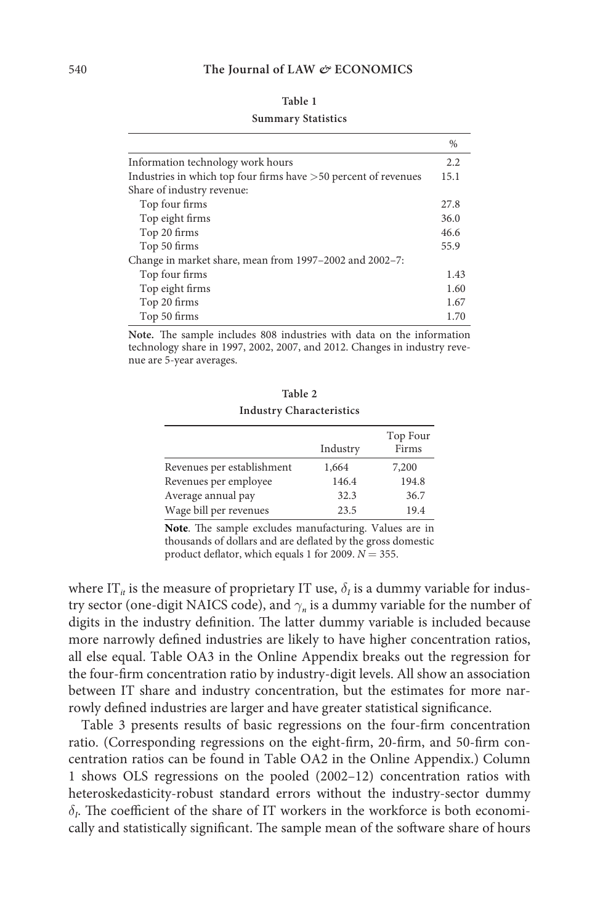|--|

**Summary Statistics**

|                                                                   | %    |
|-------------------------------------------------------------------|------|
| Information technology work hours                                 | 2.2  |
| Industries in which top four firms have $>50$ percent of revenues | 15.1 |
| Share of industry revenue:                                        |      |
| Top four firms                                                    | 27.8 |
| Top eight firms                                                   | 36.0 |
| Top 20 firms                                                      | 46.6 |
| Top 50 firms                                                      | 55.9 |
| Change in market share, mean from 1997–2002 and 2002–7:           |      |
| Top four firms                                                    | 1.43 |
| Top eight firms                                                   | 1.60 |
| Top 20 firms                                                      | 1.67 |
| Top 50 firms                                                      | 1.70 |

**Note.** The sample includes 808 industries with data on the information technology share in 1997, 2002, 2007, and 2012. Changes in industry revenue are 5-year averages.

| Table 2                         |
|---------------------------------|
| <b>Industry Characteristics</b> |

|                            |          | Top Four |
|----------------------------|----------|----------|
|                            | Industry | Firms    |
| Revenues per establishment | 1,664    | 7,200    |
| Revenues per employee      | 146.4    | 194.8    |
| Average annual pay         | 32.3     | 36.7     |
| Wage bill per revenues     | 23.5     | 19.4     |

**Note**. The sample excludes manufacturing. Values are in thousands of dollars and are deflated by the gross domestic product deflator, which equals 1 for 2009. *N =* 355.

where IT<sub>*it*</sub> is the measure of proprietary IT use,  $\delta$ <sub>*I*</sub> is a dummy variable for industry sector (one-digit NAICS code), and *γn* is a dummy variable for the number of digits in the industry definition. The latter dummy variable is included because more narrowly defined industries are likely to have higher concentration ratios, all else equal. Table OA3 in the Online Appendix breaks out the regression for the four-firm concentration ratio by industry-digit levels. All show an association between IT share and industry concentration, but the estimates for more narrowly defined industries are larger and have greater statistical significance.

Table 3 presents results of basic regressions on the four-firm concentration ratio. (Corresponding regressions on the eight-firm, 20-firm, and 50-firm concentration ratios can be found in Table OA2 in the Online Appendix.) Column 1 shows OLS regressions on the pooled (2002–12) concentration ratios with heteroskedasticity-robust standard errors without the industry-sector dummy  $\delta$ <sup>*I*</sup>. The coefficient of the share of IT workers in the workforce is both economically and statistically significant. The sample mean of the software share of hours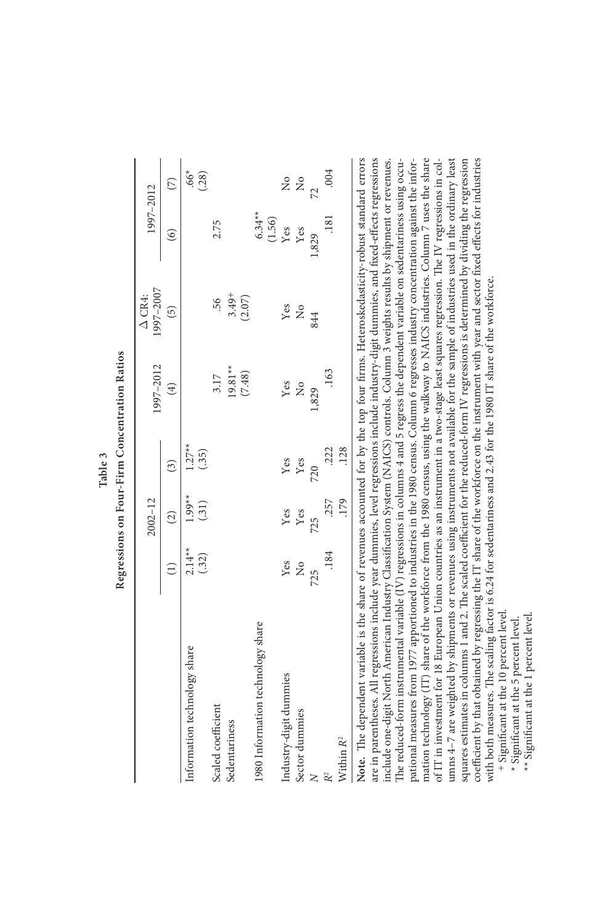|                                   |                                                                                                |                                                                    |                                 | 1997-2012                                                | $\Delta$ CR4:               | 1997-2012                                        |                        |
|-----------------------------------|------------------------------------------------------------------------------------------------|--------------------------------------------------------------------|---------------------------------|----------------------------------------------------------|-----------------------------|--------------------------------------------------|------------------------|
|                                   |                                                                                                | $\begin{array}{c c}\n & 2002-12 \\ \hline\n(1) & (2)\n\end{array}$ | $\widehat{c}$                   | $(4)$                                                    | $\frac{1997-2007}{(5)}$     | $\odot$                                          | $\frac{1}{2}$          |
| Information technology share      | $2.14**$<br>(.32)                                                                              | $1.99**$<br>(.31)                                                  | $\frac{1.27}{4}$                |                                                          |                             |                                                  | $.66*$<br>(.28)        |
| Scaled coefficient                |                                                                                                |                                                                    |                                 |                                                          |                             | 2.75                                             |                        |
| Sedentariness                     |                                                                                                |                                                                    |                                 | $\begin{array}{c} 3.17 \\ 19.81** \\ (7.48) \end{array}$ | $.56$<br>3.49+<br>(2.07)    |                                                  |                        |
|                                   |                                                                                                |                                                                    |                                 |                                                          |                             |                                                  |                        |
| 1980 Information technology share |                                                                                                |                                                                    |                                 |                                                          |                             | $6.34**$<br>(1.56)<br>Yes<br>Yes<br>Yes<br>I,829 |                        |
|                                   |                                                                                                |                                                                    |                                 |                                                          |                             |                                                  |                        |
| Industry-digit dummies            |                                                                                                |                                                                    |                                 | $\frac{\text{Yes}}{\text{No}}$                           | $_{\rm Y_{\rm 5}}^{\rm Fe}$ |                                                  |                        |
| Sector dummies                    |                                                                                                |                                                                    | $\frac{\text{Yes}}{\text{Yes}}$ |                                                          |                             |                                                  |                        |
| $\geq$                            | $\begin{array}{c} \gamma_{\rm{es}} \\ \textrm{No} \\ \gamma_{25} \\ \textrm{.184} \end{array}$ | $\frac{\text{Yes}}{\text{Yes}}$<br>725                             |                                 | 1,829                                                    | 844                         |                                                  | $26$<br>$72$<br>$.004$ |
| $\ensuremath{R^{2}}\xspace$       |                                                                                                | .257<br>179                                                        |                                 | .163                                                     |                             | .181                                             |                        |
| Within $R^2$                      |                                                                                                |                                                                    | $.222$<br>$.128$                |                                                          |                             |                                                  |                        |
|                                   |                                                                                                |                                                                    |                                 |                                                          |                             |                                                  |                        |

Regressions on Four-Firm Concentration Ratios **Regressions on Four-Firm Concentration Ratios Table 3**

**Note.** The dependent variable is the share of revenues accounted for by the top four firms. Heteroskedasticity-robust standard errors are in parentheses. All regressions include year dummies, level regressions include industry-digit dummies, and fixed-effects regressions include one-digit North American Industry Classification System (NAICS) controls. Column 3 weights results by shipment or revenues. mation technology (IT) share of the workforce from the 1980 census, using the walkway to NAICS industries. Column 7 uses the share mation technology (IT) share of the workforce from the 1980 census, using the walkway to NAICS industries. Column 7 uses the share umns 4–7 are weighted by shipments or revenues using instruments not available for the sample of industries used in the ordinary least squares estimates in columns 1 and 2. The scaled coefficient for the reduced-form IV regressions is determined by dividing the regression coefficient by that obtained by regressing the IT share of the workforce on the instrument with year and sector fixed effects for industries Note. The dependent variable is the share of revenues accounted for by the top four firms. Heteroskedasticity-robust standard errors are in parentheses. All regressions include year dummies, level regressions include industry-digit dummies, and fixed-effects regressions nclude one-digit North American Industry Classification System (NAICS) controls. Column 3 weights results by shipment or revenues. The reduced-form instrumental variable (IV) regressions in columns 4 and 5 regress the dependent variable on sedentariness using occupational measures from 1977 apportioned to industries in the 1980 census. Column 6 regresses industry concentration against the inforof IT in investment for 18 European Union countries as an instrument in a two-stage least squares regression. The IV regressions in columns 4–7 are weighted by shipments or revenues using instruments not available for the sample of industries used in the ordinary least squares estimates in columns 1 and 2. The scaled coefficient for the reduced-form IV regressions is determined by dividing the regression coefficient by that obtained by regressing the IT share of the workforce on the instrument with year and sector fixed effects for industries The reduced-form instrumental variable (IV) regressions in columns 4 and 5 regress the dependent variable on sedentariness using occupational measures from 1977 apportioned to industries in the 1980 census. Column 6 regresses industry concentration against the inforof IT in investment for 18 European Union countries as an instrument in a two-stage least squares regression. The IV regressions in colwith both measures. The scaling factor is 6.24 for sedentariness and 2.43 for the 1980 IT share of the workforce. with both measures. The scaling factor is 6.24 for sedentariness and 2.43 for the 1980 IT share of the workforce.

**+**Significant at the 10 percent level.

\* Significant at the 5 percent level. Significant at the 5 percent level.

\*\* Significant at the 1 percent level. \*\* Significant at the 1 percent level.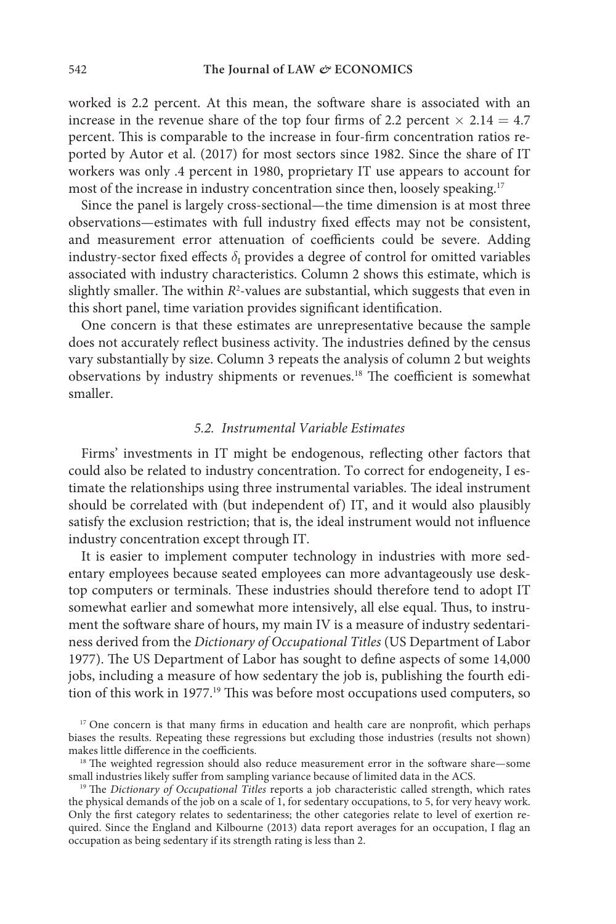worked is 2.2 percent. At this mean, the software share is associated with an increase in the revenue share of the top four firms of 2.2 percent  $\times$  2.14 = 4.7 percent. This is comparable to the increase in four-firm concentration ratios reported by Autor et al. (2017) for most sectors since 1982. Since the share of IT workers was only .4 percent in 1980, proprietary IT use appears to account for most of the increase in industry concentration since then, loosely speaking.<sup>17</sup>

Since the panel is largely cross-sectional—the time dimension is at most three observations—estimates with full industry fixed effects may not be consistent, and measurement error attenuation of coefficients could be severe. Adding industry-sector fixed effects  $\delta$ <sub>I</sub> provides a degree of control for omitted variables associated with industry characteristics. Column 2 shows this estimate, which is slightly smaller. The within  $R^2$ -values are substantial, which suggests that even in this short panel, time variation provides significant identification.

One concern is that these estimates are unrepresentative because the sample does not accurately reflect business activity. The industries defined by the census vary substantially by size. Column 3 repeats the analysis of column 2 but weights observations by industry shipments or revenues.18 The coefficient is somewhat smaller.

#### *5.2. Instrumental Variable Estimates*

Firms' investments in IT might be endogenous, reflecting other factors that could also be related to industry concentration. To correct for endogeneity, I estimate the relationships using three instrumental variables. The ideal instrument should be correlated with (but independent of) IT, and it would also plausibly satisfy the exclusion restriction; that is, the ideal instrument would not influence industry concentration except through IT.

It is easier to implement computer technology in industries with more sedentary employees because seated employees can more advantageously use desktop computers or terminals. These industries should therefore tend to adopt IT somewhat earlier and somewhat more intensively, all else equal. Thus, to instrument the software share of hours, my main IV is a measure of industry sedentariness derived from the *Dictionary of Occupational Titles* (US Department of Labor 1977). The US Department of Labor has sought to define aspects of some 14,000 jobs, including a measure of how sedentary the job is, publishing the fourth edition of this work in 1977.<sup>19</sup> This was before most occupations used computers, so

<sup>18</sup> The weighted regression should also reduce measurement error in the software share—some small industries likely suffer from sampling variance because of limited data in the ACS.

<sup>19</sup> The *Dictionary of Occupational Titles* reports a job characteristic called strength, which rates the physical demands of the job on a scale of 1, for sedentary occupations, to 5, for very heavy work. Only the first category relates to sedentariness; the other categories relate to level of exertion required. Since the England and Kilbourne (2013) data report averages for an occupation, I flag an occupation as being sedentary if its strength rating is less than 2.

<sup>&</sup>lt;sup>17</sup> One concern is that many firms in education and health care are nonprofit, which perhaps biases the results. Repeating these regressions but excluding those industries (results not shown) makes little difference in the coefficients.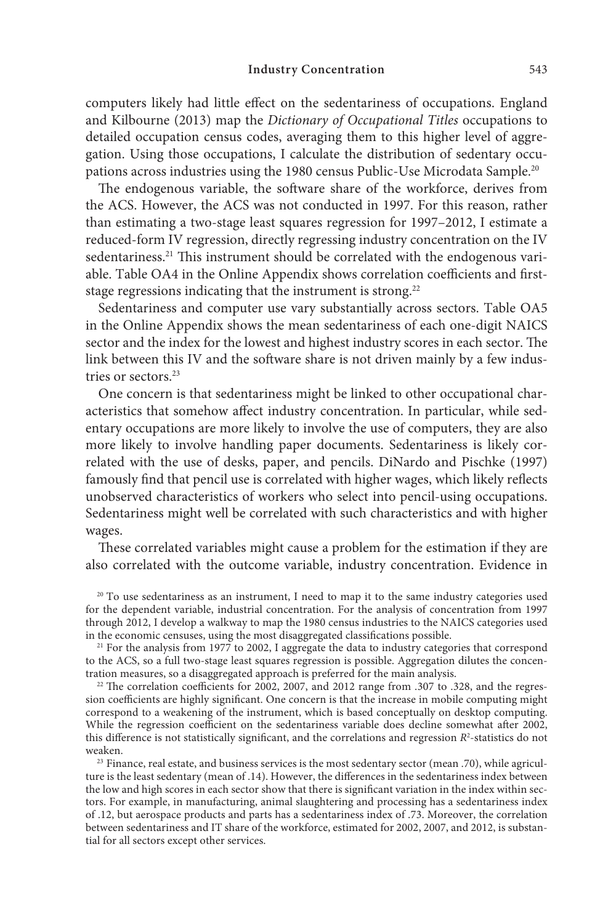computers likely had little effect on the sedentariness of occupations. England and Kilbourne (2013) map the *Dictionary of Occupational Titles* occupations to detailed occupation census codes, averaging them to this higher level of aggregation. Using those occupations, I calculate the distribution of sedentary occupations across industries using the 1980 census Public-Use Microdata Sample.<sup>20</sup>

The endogenous variable, the software share of the workforce, derives from the ACS. However, the ACS was not conducted in 1997. For this reason, rather than estimating a two-stage least squares regression for 1997–2012, I estimate a reduced-form IV regression, directly regressing industry concentration on the IV sedentariness.<sup>21</sup> This instrument should be correlated with the endogenous variable. Table OA4 in the Online Appendix shows correlation coefficients and firststage regressions indicating that the instrument is strong.<sup>22</sup>

Sedentariness and computer use vary substantially across sectors. Table OA5 in the Online Appendix shows the mean sedentariness of each one-digit NAICS sector and the index for the lowest and highest industry scores in each sector. The link between this IV and the software share is not driven mainly by a few industries or sectors<sup>23</sup>

One concern is that sedentariness might be linked to other occupational characteristics that somehow affect industry concentration. In particular, while sedentary occupations are more likely to involve the use of computers, they are also more likely to involve handling paper documents. Sedentariness is likely correlated with the use of desks, paper, and pencils. DiNardo and Pischke (1997) famously find that pencil use is correlated with higher wages, which likely reflects unobserved characteristics of workers who select into pencil-using occupations. Sedentariness might well be correlated with such characteristics and with higher wages.

These correlated variables might cause a problem for the estimation if they are also correlated with the outcome variable, industry concentration. Evidence in

<sup>20</sup> To use sedentariness as an instrument, I need to map it to the same industry categories used for the dependent variable, industrial concentration. For the analysis of concentration from 1997 through 2012, I develop a walkway to map the 1980 census industries to the NAICS categories used in the economic censuses, using the most disaggregated classifications possible.

 $21$  For the analysis from 1977 to 2002, I aggregate the data to industry categories that correspond to the ACS, so a full two-stage least squares regression is possible. Aggregation dilutes the concentration measures, so a disaggregated approach is preferred for the main analysis.

 $22$  The correlation coefficients for 2002, 2007, and 2012 range from .307 to .328, and the regression coefficients are highly significant. One concern is that the increase in mobile computing might correspond to a weakening of the instrument, which is based conceptually on desktop computing. While the regression coefficient on the sedentariness variable does decline somewhat after 2002, this difference is not statistically significant, and the correlations and regression  $R^2$ -statistics do not weaken.

<sup>23</sup> Finance, real estate, and business services is the most sedentary sector (mean .70), while agriculture is the least sedentary (mean of .14). However, the differences in the sedentariness index between the low and high scores in each sector show that there is significant variation in the index within sectors. For example, in manufacturing, animal slaughtering and processing has a sedentariness index of .12, but aerospace products and parts has a sedentariness index of .73. Moreover, the correlation between sedentariness and IT share of the workforce, estimated for 2002, 2007, and 2012, is substantial for all sectors except other services.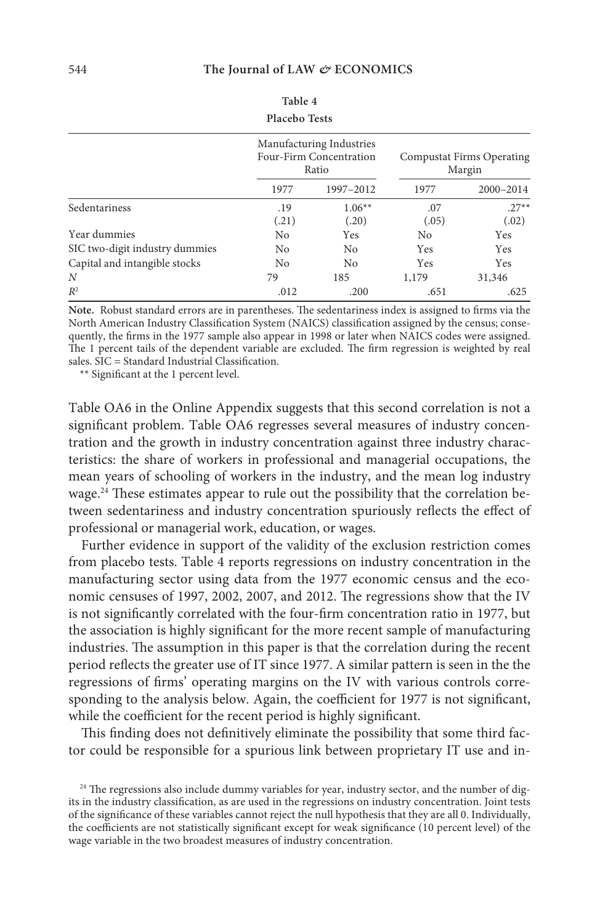|                                | Manufacturing Industries<br>Four-Firm Concentration<br>Ratio |                   | <b>Compustat Firms Operating</b><br>Margin |                  |  |
|--------------------------------|--------------------------------------------------------------|-------------------|--------------------------------------------|------------------|--|
|                                | 1977                                                         | 1997-2012         | 1977                                       | 2000-2014        |  |
| Sedentariness                  | .19<br>(.21)                                                 | $1.06**$<br>(.20) | .07<br>(.05)                               | $.27**$<br>(.02) |  |
| Year dummies                   | No                                                           | Yes               | No                                         | Yes              |  |
| SIC two-digit industry dummies | No                                                           | No                | Yes                                        | Yes              |  |
| Capital and intangible stocks  | No                                                           | No                | Yes                                        | Yes              |  |
| N                              | 79                                                           | 185               | 1,179                                      | 31,346           |  |
| $R^2$                          | .012                                                         | .200              | .651                                       | .625             |  |

#### **Table 4 Placebo Tests**

**Note.** Robust standard errors are in parentheses. The sedentariness index is assigned to firms via the North American Industry Classification System (NAICS) classification assigned by the census; consequently, the firms in the 1977 sample also appear in 1998 or later when NAICS codes were assigned. The 1 percent tails of the dependent variable are excluded. The firm regression is weighted by real sales. SIC = Standard Industrial Classification.

\*\* Significant at the 1 percent level.

Table OA6 in the Online Appendix suggests that this second correlation is not a significant problem. Table OA6 regresses several measures of industry concentration and the growth in industry concentration against three industry characteristics: the share of workers in professional and managerial occupations, the mean years of schooling of workers in the industry, and the mean log industry wage.24 These estimates appear to rule out the possibility that the correlation between sedentariness and industry concentration spuriously reflects the effect of professional or managerial work, education, or wages.

Further evidence in support of the validity of the exclusion restriction comes from placebo tests. Table 4 reports regressions on industry concentration in the manufacturing sector using data from the 1977 economic census and the economic censuses of 1997, 2002, 2007, and 2012. The regressions show that the IV is not significantly correlated with the four-firm concentration ratio in 1977, but the association is highly significant for the more recent sample of manufacturing industries. The assumption in this paper is that the correlation during the recent period reflects the greater use of IT since 1977. A similar pattern is seen in the the regressions of firms' operating margins on the IV with various controls corresponding to the analysis below. Again, the coefficient for 1977 is not significant, while the coefficient for the recent period is highly significant.

This finding does not definitively eliminate the possibility that some third factor could be responsible for a spurious link between proprietary IT use and in-

<sup>&</sup>lt;sup>24</sup> The regressions also include dummy variables for year, industry sector, and the number of digits in the industry classification, as are used in the regressions on industry concentration. Joint tests of the significance of these variables cannot reject the null hypothesis that they are all 0. Individually, the coefficients are not statistically significant except for weak significance (10 percent level) of the wage variable in the two broadest measures of industry concentration.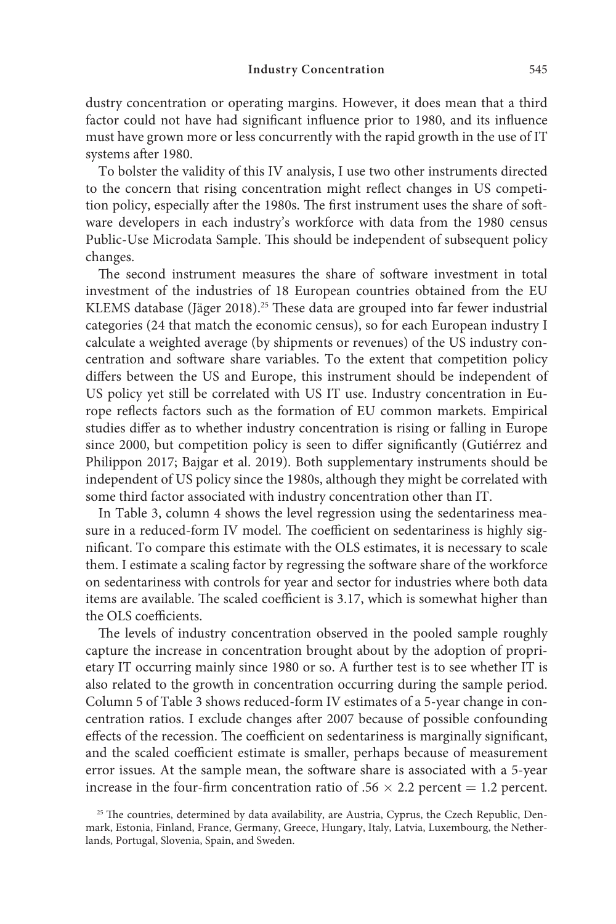dustry concentration or operating margins. However, it does mean that a third factor could not have had significant influence prior to 1980, and its influence must have grown more or less concurrently with the rapid growth in the use of IT systems after 1980.

To bolster the validity of this IV analysis, I use two other instruments directed to the concern that rising concentration might reflect changes in US competition policy, especially after the 1980s. The first instrument uses the share of software developers in each industry's workforce with data from the 1980 census Public-Use Microdata Sample. This should be independent of subsequent policy changes.

The second instrument measures the share of software investment in total investment of the industries of 18 European countries obtained from the EU KLEMS database (Jäger 2018).<sup>25</sup> These data are grouped into far fewer industrial categories (24 that match the economic census), so for each European industry I calculate a weighted average (by shipments or revenues) of the US industry concentration and software share variables. To the extent that competition policy differs between the US and Europe, this instrument should be independent of US policy yet still be correlated with US IT use. Industry concentration in Europe reflects factors such as the formation of EU common markets. Empirical studies differ as to whether industry concentration is rising or falling in Europe since 2000, but competition policy is seen to differ significantly (Gutiérrez and Philippon 2017; Bajgar et al. 2019). Both supplementary instruments should be independent of US policy since the 1980s, although they might be correlated with some third factor associated with industry concentration other than IT.

In Table 3, column 4 shows the level regression using the sedentariness measure in a reduced-form IV model. The coefficient on sedentariness is highly significant. To compare this estimate with the OLS estimates, it is necessary to scale them. I estimate a scaling factor by regressing the software share of the workforce on sedentariness with controls for year and sector for industries where both data items are available. The scaled coefficient is 3.17, which is somewhat higher than the OLS coefficients.

The levels of industry concentration observed in the pooled sample roughly capture the increase in concentration brought about by the adoption of proprietary IT occurring mainly since 1980 or so. A further test is to see whether IT is also related to the growth in concentration occurring during the sample period. Column 5 of Table 3 shows reduced-form IV estimates of a 5-year change in concentration ratios. I exclude changes after 2007 because of possible confounding effects of the recession. The coefficient on sedentariness is marginally significant, and the scaled coefficient estimate is smaller, perhaps because of measurement error issues. At the sample mean, the software share is associated with a 5-year increase in the four-firm concentration ratio of  $.56 \times 2.2$  percent  $= 1.2$  percent.

<sup>&</sup>lt;sup>25</sup> The countries, determined by data availability, are Austria, Cyprus, the Czech Republic, Denmark, Estonia, Finland, France, Germany, Greece, Hungary, Italy, Latvia, Luxembourg, the Netherlands, Portugal, Slovenia, Spain, and Sweden.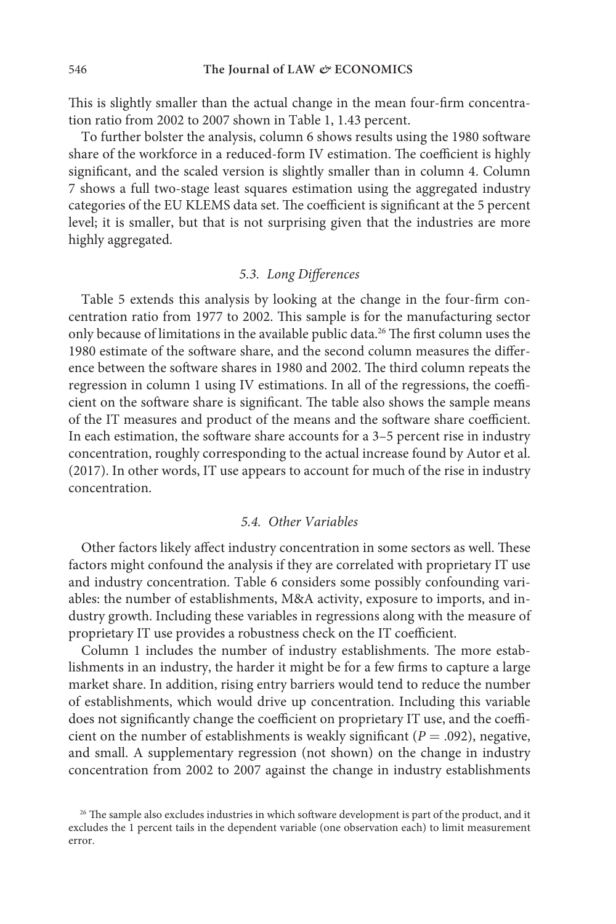This is slightly smaller than the actual change in the mean four-firm concentration ratio from 2002 to 2007 shown in Table 1, 1.43 percent.

To further bolster the analysis, column 6 shows results using the 1980 software share of the workforce in a reduced-form IV estimation. The coefficient is highly significant, and the scaled version is slightly smaller than in column 4. Column 7 shows a full two-stage least squares estimation using the aggregated industry categories of the EU KLEMS data set. The coefficient is significant at the 5 percent level; it is smaller, but that is not surprising given that the industries are more highly aggregated.

## *5.3. Long Differences*

Table 5 extends this analysis by looking at the change in the four-firm concentration ratio from 1977 to 2002. This sample is for the manufacturing sector only because of limitations in the available public data.<sup>26</sup> The first column uses the 1980 estimate of the software share, and the second column measures the difference between the software shares in 1980 and 2002. The third column repeats the regression in column 1 using IV estimations. In all of the regressions, the coefficient on the software share is significant. The table also shows the sample means of the IT measures and product of the means and the software share coefficient. In each estimation, the software share accounts for a 3–5 percent rise in industry concentration, roughly corresponding to the actual increase found by Autor et al. (2017). In other words, IT use appears to account for much of the rise in industry concentration.

## *5.4. Other Variables*

Other factors likely affect industry concentration in some sectors as well. These factors might confound the analysis if they are correlated with proprietary IT use and industry concentration. Table 6 considers some possibly confounding variables: the number of establishments, M&A activity, exposure to imports, and industry growth. Including these variables in regressions along with the measure of proprietary IT use provides a robustness check on the IT coefficient.

Column 1 includes the number of industry establishments. The more establishments in an industry, the harder it might be for a few firms to capture a large market share. In addition, rising entry barriers would tend to reduce the number of establishments, which would drive up concentration. Including this variable does not significantly change the coefficient on proprietary IT use, and the coefficient on the number of establishments is weakly significant ( $P = .092$ ), negative, and small. A supplementary regression (not shown) on the change in industry concentration from 2002 to 2007 against the change in industry establishments

<sup>&</sup>lt;sup>26</sup> The sample also excludes industries in which software development is part of the product, and it excludes the 1 percent tails in the dependent variable (one observation each) to limit measurement error.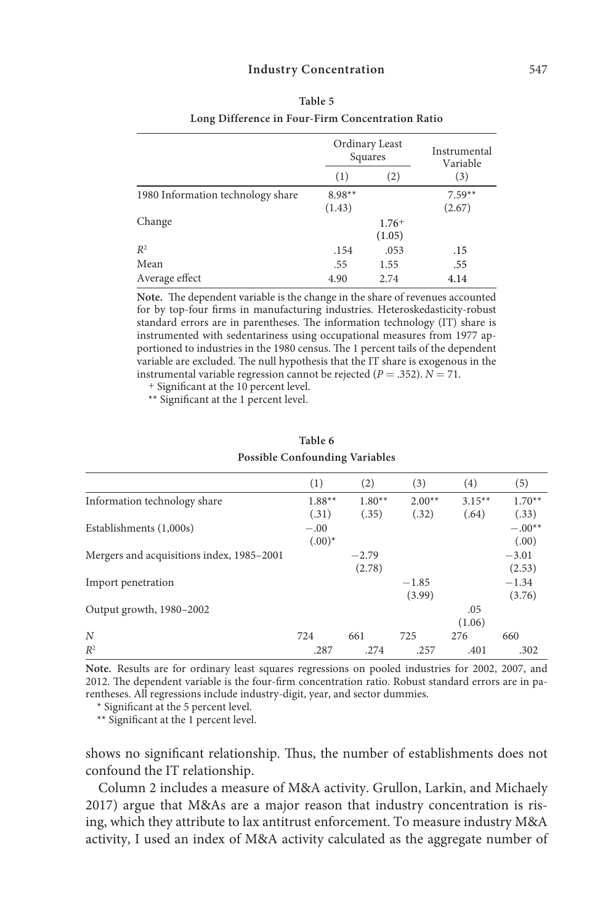| <br>۰,<br>×<br>۰. | ×<br>т. |
|-------------------|---------|
|-------------------|---------|

|                                   |          | Ordinary Least<br>Squares | Instrumental<br>Variable |
|-----------------------------------|----------|---------------------------|--------------------------|
|                                   | (1)      | (2)                       | (3)                      |
| 1980 Information technology share | $8.98**$ |                           | $7.59**$                 |
|                                   | (1.43)   |                           | (2.67)                   |
| Change                            |          | $1.76+$                   |                          |
|                                   |          | (1.05)                    |                          |
| $R^2$                             | .154     | .053                      | .15                      |
| Mean                              | .55      | 1.55                      | .55                      |
| Average effect                    | 4.90     | 2.74                      | 4.14                     |

| Long Difference in Four-Firm Concentration Ratio |  |  |
|--------------------------------------------------|--|--|
|                                                  |  |  |

**Note.** The dependent variable is the change in the share of revenues accounted for by top-four firms in manufacturing industries. Heteroskedasticity-robust standard errors are in parentheses. The information technology (IT) share is instrumented with sedentariness using occupational measures from 1977 apportioned to industries in the 1980 census. The 1 percent tails of the dependent variable are excluded. The null hypothesis that the IT share is exogenous in the instrumental variable regression cannot be rejected ( $P = .352$ ).  $N = 71$ .

**<sup>+</sup>** Significant at the 10 percent level.

\*\* Significant at the 1 percent level.

|                                           | (1)       | (2)      | (3)      | (4)       | (5)      |
|-------------------------------------------|-----------|----------|----------|-----------|----------|
| Information technology share              | $1.88**$  | $1.80**$ | $2.00**$ | $3.15***$ | $1.70**$ |
|                                           | (.31)     | (.35)    | (.32)    | (.64)     | (.33)    |
| Establishments (1,000s)                   | $-.00$    |          |          |           | $-.00**$ |
|                                           | $(.00)^*$ |          |          |           | (.00)    |
| Mergers and acquisitions index, 1985-2001 |           | $-2.79$  |          |           | $-3.01$  |
|                                           |           | (2.78)   |          |           | (2.53)   |
| Import penetration                        |           |          | $-1.85$  |           | $-1.34$  |
|                                           |           |          | (3.99)   |           | (3.76)   |
| Output growth, 1980–2002                  |           |          |          | .05       |          |
|                                           |           |          |          | (1.06)    |          |
| Ν                                         | 724       | 661      | 725      | 276       | 660      |
| $\mathbb{R}^2$                            | .287      | .274     | .257     | .401      | .302     |
|                                           |           |          |          |           |          |

| Table 6                               |  |
|---------------------------------------|--|
| <b>Possible Confounding Variables</b> |  |

**Note.** Results are for ordinary least squares regressions on pooled industries for 2002, 2007, and 2012. The dependent variable is the four-firm concentration ratio. Robust standard errors are in parentheses. All regressions include industry-digit, year, and sector dummies.

\* Significant at the 5 percent level.

\*\* Significant at the 1 percent level.

shows no significant relationship. Thus, the number of establishments does not confound the IT relationship.

Column 2 includes a measure of M&A activity. Grullon, Larkin, and Michaely 2017) argue that M&As are a major reason that industry concentration is rising, which they attribute to lax antitrust enforcement. To measure industry M&A activity, I used an index of M&A activity calculated as the aggregate number of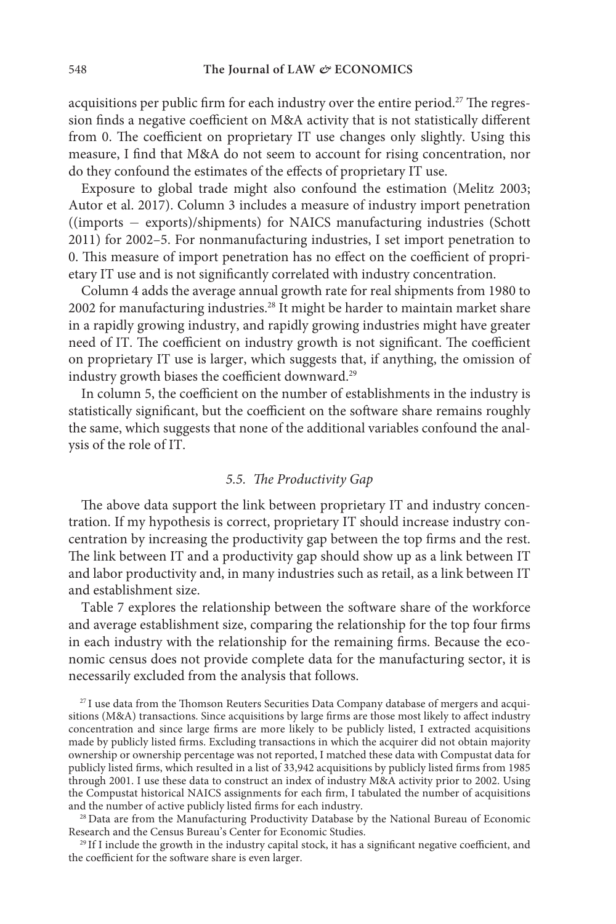acquisitions per public firm for each industry over the entire period.<sup>27</sup> The regression finds a negative coefficient on M&A activity that is not statistically different from 0. The coefficient on proprietary IT use changes only slightly. Using this measure, I find that M&A do not seem to account for rising concentration, nor do they confound the estimates of the effects of proprietary IT use.

Exposure to global trade might also confound the estimation (Melitz 2003; Autor et al. 2017). Column 3 includes a measure of industry import penetration ((imports *−* exports)/shipments) for NAICS manufacturing industries (Schott 2011) for 2002–5. For nonmanufacturing industries, I set import penetration to 0. This measure of import penetration has no effect on the coefficient of proprietary IT use and is not significantly correlated with industry concentration.

Column 4 adds the average annual growth rate for real shipments from 1980 to 2002 for manufacturing industries.<sup>28</sup> It might be harder to maintain market share in a rapidly growing industry, and rapidly growing industries might have greater need of IT. The coefficient on industry growth is not significant. The coefficient on proprietary IT use is larger, which suggests that, if anything, the omission of industry growth biases the coefficient downward.<sup>29</sup>

In column 5, the coefficient on the number of establishments in the industry is statistically significant, but the coefficient on the software share remains roughly the same, which suggests that none of the additional variables confound the analysis of the role of IT.

# *5.5. The Productivity Gap*

The above data support the link between proprietary IT and industry concentration. If my hypothesis is correct, proprietary IT should increase industry concentration by increasing the productivity gap between the top firms and the rest. The link between IT and a productivity gap should show up as a link between IT and labor productivity and, in many industries such as retail, as a link between IT and establishment size.

Table 7 explores the relationship between the software share of the workforce and average establishment size, comparing the relationship for the top four firms in each industry with the relationship for the remaining firms. Because the economic census does not provide complete data for the manufacturing sector, it is necessarily excluded from the analysis that follows.

<sup>27</sup> I use data from the Thomson Reuters Securities Data Company database of mergers and acquisitions (M&A) transactions. Since acquisitions by large firms are those most likely to affect industry concentration and since large firms are more likely to be publicly listed, I extracted acquisitions made by publicly listed firms. Excluding transactions in which the acquirer did not obtain majority ownership or ownership percentage was not reported, I matched these data with Compustat data for publicly listed firms, which resulted in a list of 33,942 acquisitions by publicly listed firms from 1985 through 2001. I use these data to construct an index of industry M&A activity prior to 2002. Using the Compustat historical NAICS assignments for each firm, I tabulated the number of acquisitions and the number of active publicly listed firms for each industry.

28 Data are from the Manufacturing Productivity Database by the National Bureau of Economic Research and the Census Bureau's Center for Economic Studies.

<sup>29</sup> If I include the growth in the industry capital stock, it has a significant negative coefficient, and the coefficient for the software share is even larger.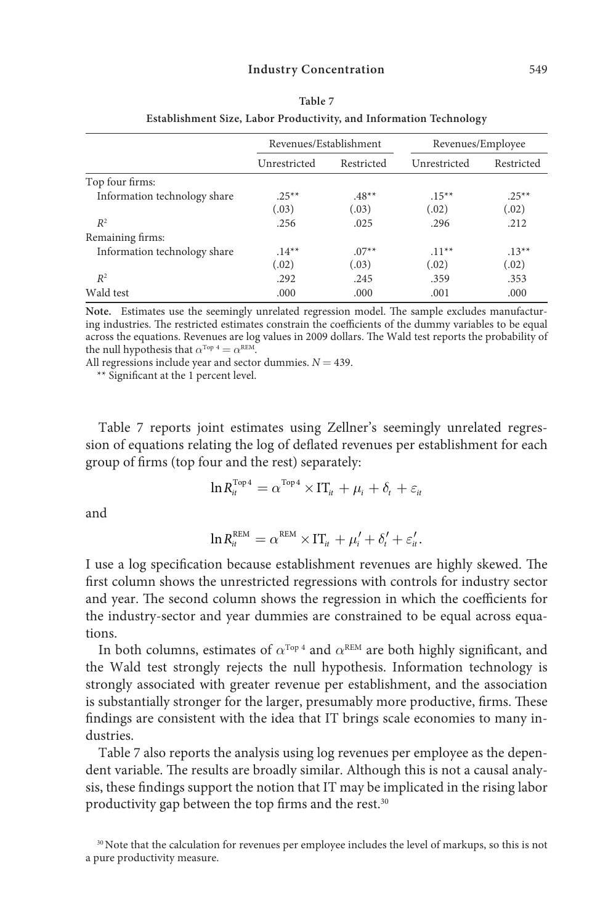|                              | Revenues/Establishment |            |              | Revenues/Employee |  |  |
|------------------------------|------------------------|------------|--------------|-------------------|--|--|
|                              | Unrestricted           | Restricted | Unrestricted | Restricted        |  |  |
| Top four firms:              |                        |            |              |                   |  |  |
| Information technology share | $.25**$                | $.48**$    | $.15***$     | $.25**$           |  |  |
|                              | (.03)                  | (.03)      | (.02)        | (.02)             |  |  |
| $R^2$                        | .256                   | .025       | .296         | .212              |  |  |
| Remaining firms:             |                        |            |              |                   |  |  |
| Information technology share | $.14***$               | $.07**$    | $.11***$     | $.13**$           |  |  |
|                              | (.02)                  | (.03)      | (.02)        | (.02)             |  |  |
| $R^2$                        | .292                   | .245       | .359         | .353              |  |  |
| Wald test                    | .000                   | .000       | .001         | .000              |  |  |

| Table 7                                                            |
|--------------------------------------------------------------------|
| Establishment Size, Labor Productivity, and Information Technology |

**Note.** Estimates use the seemingly unrelated regression model. The sample excludes manufacturing industries. The restricted estimates constrain the coefficients of the dummy variables to be equal across the equations. Revenues are log values in 2009 dollars. The Wald test reports the probability of the null hypothesis that  $\alpha^{\text{Top 4}} = \alpha^{\text{REM}}$ .

All regressions include year and sector dummies.  $N = 439$ .

\*\* Significant at the 1 percent level.

Table 7 reports joint estimates using Zellner's seemingly unrelated regression of equations relating the log of deflated revenues per establishment for each group of firms (top four and the rest) separately:

$$
\ln R_{it}^{\text{Top 4}} = \alpha^{\text{Top 4}} \times \text{IT}_{it} + \mu_i + \delta_t + \varepsilon_{it}
$$

and

$$
\ln R_{it}^{\text{REM}} = \alpha^{\text{REM}} \times \Pi_{it} + \mu'_{i} + \delta'_{t} + \varepsilon'_{it}.
$$

I use a log specification because establishment revenues are highly skewed. The first column shows the unrestricted regressions with controls for industry sector and year. The second column shows the regression in which the coefficients for the industry-sector and year dummies are constrained to be equal across equations.

In both columns, estimates of  $\alpha^{\text{Top 4}}$  and  $\alpha^{\text{REM}}$  are both highly significant, and the Wald test strongly rejects the null hypothesis. Information technology is strongly associated with greater revenue per establishment, and the association is substantially stronger for the larger, presumably more productive, firms. These findings are consistent with the idea that IT brings scale economies to many industries.

Table 7 also reports the analysis using log revenues per employee as the dependent variable. The results are broadly similar. Although this is not a causal analysis, these findings support the notion that IT may be implicated in the rising labor productivity gap between the top firms and the rest.<sup>30</sup>

<sup>30</sup> Note that the calculation for revenues per employee includes the level of markups, so this is not a pure productivity measure.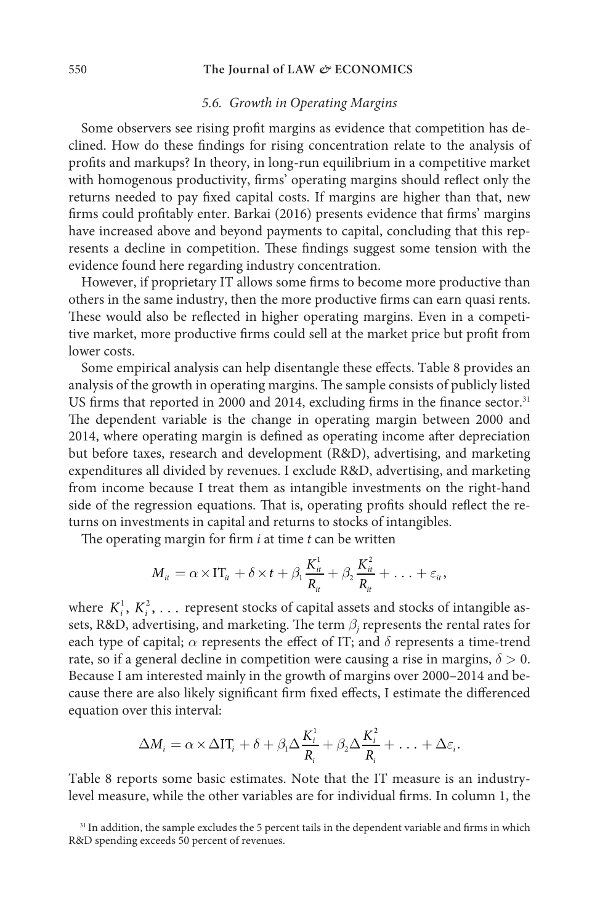# 550 **The Journal of LAW**  $\mathcal{O}$  **ECONOMICS**

# *5.6. Growth in Operating Margins*

Some observers see rising profit margins as evidence that competition has declined. How do these findings for rising concentration relate to the analysis of profits and markups? In theory, in long-run equilibrium in a competitive market with homogenous productivity, firms' operating margins should reflect only the returns needed to pay fixed capital costs. If margins are higher than that, new firms could profitably enter. Barkai (2016) presents evidence that firms' margins have increased above and beyond payments to capital, concluding that this represents a decline in competition. These findings suggest some tension with the evidence found here regarding industry concentration.

However, if proprietary IT allows some firms to become more productive than others in the same industry, then the more productive firms can earn quasi rents. These would also be reflected in higher operating margins. Even in a competitive market, more productive firms could sell at the market price but profit from lower costs.

Some empirical analysis can help disentangle these effects. Table 8 provides an analysis of the growth in operating margins. The sample consists of publicly listed US firms that reported in 2000 and 2014, excluding firms in the finance sector.<sup>31</sup> The dependent variable is the change in operating margin between 2000 and 2014, where operating margin is defined as operating income after depreciation but before taxes, research and development (R&D), advertising, and marketing expenditures all divided by revenues. I exclude R&D, advertising, and marketing from income because I treat them as intangible investments on the right-hand side of the regression equations. That is, operating profits should reflect the returns on investments in capital and returns to stocks of intangibles.

The operating margin for firm *i* at time *t* can be written

$$
M_{it} = \alpha \times \Pi_{it} + \delta \times t + \beta_1 \frac{K_{it}^1}{R_{it}} + \beta_2 \frac{K_{it}^2}{R_{it}} + \ldots + \varepsilon_i,
$$

where  $K_i^1$ ,  $K_i^2$ , ... represent stocks of capital assets and stocks of intangible assets, R&D, advertising, and marketing. The term  $\beta_j$  represents the rental rates for each type of capital;  $\alpha$  represents the effect of IT; and  $\delta$  represents a time-trend rate, so if a general decline in competition were causing a rise in margins,  $\delta > 0$ . Because I am interested mainly in the growth of margins over 2000–2014 and because there are also likely significant firm fixed effects, I estimate the differenced equation over this interval:

$$
\Delta M_i = \alpha \times \Delta \Pi_i + \delta + \beta_1 \Delta \frac{K_i^1}{R_i} + \beta_2 \Delta \frac{K_i^2}{R_i} + \ldots + \Delta \varepsilon_i.
$$

Table 8 reports some basic estimates. Note that the IT measure is an industrylevel measure, while the other variables are for individual firms. In column 1, the

<sup>&</sup>lt;sup>31</sup> In addition, the sample excludes the 5 percent tails in the dependent variable and firms in which R&D spending exceeds 50 percent of revenues.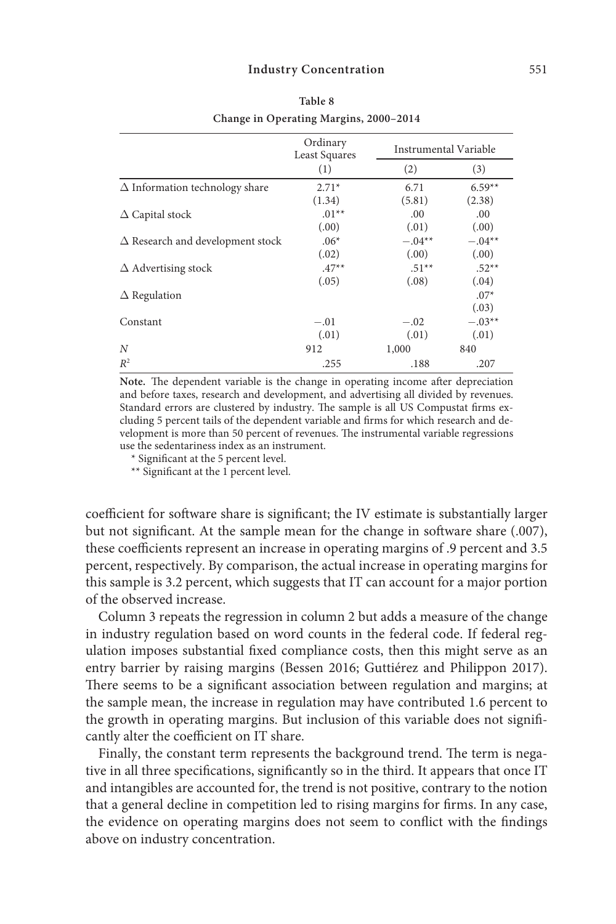| ٩<br>. .<br>i |  |
|---------------|--|
|---------------|--|

| Ordinary<br>Least Squares<br>(1) | Instrumental Variable |          |
|----------------------------------|-----------------------|----------|
|                                  | (2)                   | (3)      |
| $2.71*$                          | 6.71                  | $6.59**$ |
| (1.34)                           | (5.81)                | (2.38)   |
| $.01**$                          | .00                   | .00      |
| (.00)                            | (.01)                 | (.00)    |
| $.06*$                           | $-.04**$              | $-.04**$ |
| (.02)                            | (.00)                 | (.00)    |
| $.47**$                          | $.51**$               | $.52**$  |
| (.05)                            | (.08)                 | (.04)    |
|                                  |                       | $.07*$   |
|                                  |                       | (.03)    |
| $-.01$                           | $-.02$                | $-.03**$ |
| (.01)                            | (.01)                 | (.01)    |
| 912                              | 1,000                 | 840      |
| .255                             | .188                  | .207     |
|                                  |                       |          |

**Change in Operating Margins, 2000–2014**

**Note.** The dependent variable is the change in operating income after depreciation and before taxes, research and development, and advertising all divided by revenues. Standard errors are clustered by industry. The sample is all US Compustat firms excluding 5 percent tails of the dependent variable and firms for which research and development is more than 50 percent of revenues. The instrumental variable regressions use the sedentariness index as an instrument.

\* Significant at the 5 percent level.

\*\* Significant at the 1 percent level.

coefficient for software share is significant; the IV estimate is substantially larger but not significant. At the sample mean for the change in software share (.007), these coefficients represent an increase in operating margins of .9 percent and 3.5 percent, respectively. By comparison, the actual increase in operating margins for this sample is 3.2 percent, which suggests that IT can account for a major portion of the observed increase.

Column 3 repeats the regression in column 2 but adds a measure of the change in industry regulation based on word counts in the federal code. If federal regulation imposes substantial fixed compliance costs, then this might serve as an entry barrier by raising margins (Bessen 2016; Guttiérez and Philippon 2017). There seems to be a significant association between regulation and margins; at the sample mean, the increase in regulation may have contributed 1.6 percent to the growth in operating margins. But inclusion of this variable does not significantly alter the coefficient on IT share.

Finally, the constant term represents the background trend. The term is negative in all three specifications, significantly so in the third. It appears that once IT and intangibles are accounted for, the trend is not positive, contrary to the notion that a general decline in competition led to rising margins for firms. In any case, the evidence on operating margins does not seem to conflict with the findings above on industry concentration.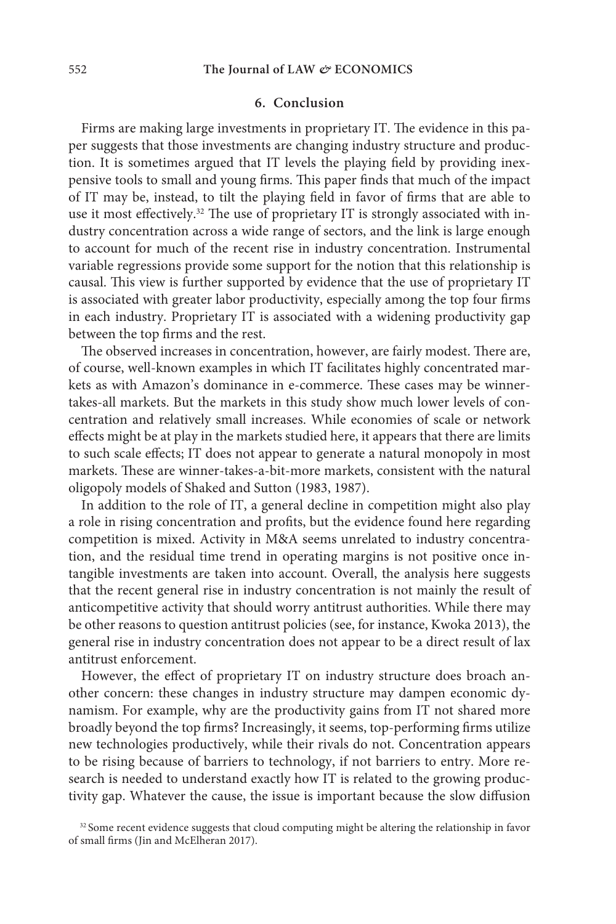## **6. Conclusion**

Firms are making large investments in proprietary IT. The evidence in this paper suggests that those investments are changing industry structure and production. It is sometimes argued that IT levels the playing field by providing inexpensive tools to small and young firms. This paper finds that much of the impact of IT may be, instead, to tilt the playing field in favor of firms that are able to use it most effectively. $32$  The use of proprietary IT is strongly associated with industry concentration across a wide range of sectors, and the link is large enough to account for much of the recent rise in industry concentration. Instrumental variable regressions provide some support for the notion that this relationship is causal. This view is further supported by evidence that the use of proprietary IT is associated with greater labor productivity, especially among the top four firms in each industry. Proprietary IT is associated with a widening productivity gap between the top firms and the rest.

The observed increases in concentration, however, are fairly modest. There are, of course, well-known examples in which IT facilitates highly concentrated markets as with Amazon's dominance in e-commerce. These cases may be winnertakes-all markets. But the markets in this study show much lower levels of concentration and relatively small increases. While economies of scale or network effects might be at play in the markets studied here, it appears that there are limits to such scale effects; IT does not appear to generate a natural monopoly in most markets. These are winner-takes-a-bit-more markets, consistent with the natural oligopoly models of Shaked and Sutton (1983, 1987).

In addition to the role of IT, a general decline in competition might also play a role in rising concentration and profits, but the evidence found here regarding competition is mixed. Activity in M&A seems unrelated to industry concentration, and the residual time trend in operating margins is not positive once intangible investments are taken into account. Overall, the analysis here suggests that the recent general rise in industry concentration is not mainly the result of anticompetitive activity that should worry antitrust authorities. While there may be other reasons to question antitrust policies (see, for instance, Kwoka 2013), the general rise in industry concentration does not appear to be a direct result of lax antitrust enforcement.

However, the effect of proprietary IT on industry structure does broach another concern: these changes in industry structure may dampen economic dynamism. For example, why are the productivity gains from IT not shared more broadly beyond the top firms? Increasingly, it seems, top-performing firms utilize new technologies productively, while their rivals do not. Concentration appears to be rising because of barriers to technology, if not barriers to entry. More research is needed to understand exactly how IT is related to the growing productivity gap. Whatever the cause, the issue is important because the slow diffusion

<sup>&</sup>lt;sup>32</sup> Some recent evidence suggests that cloud computing might be altering the relationship in favor of small firms (Jin and McElheran 2017).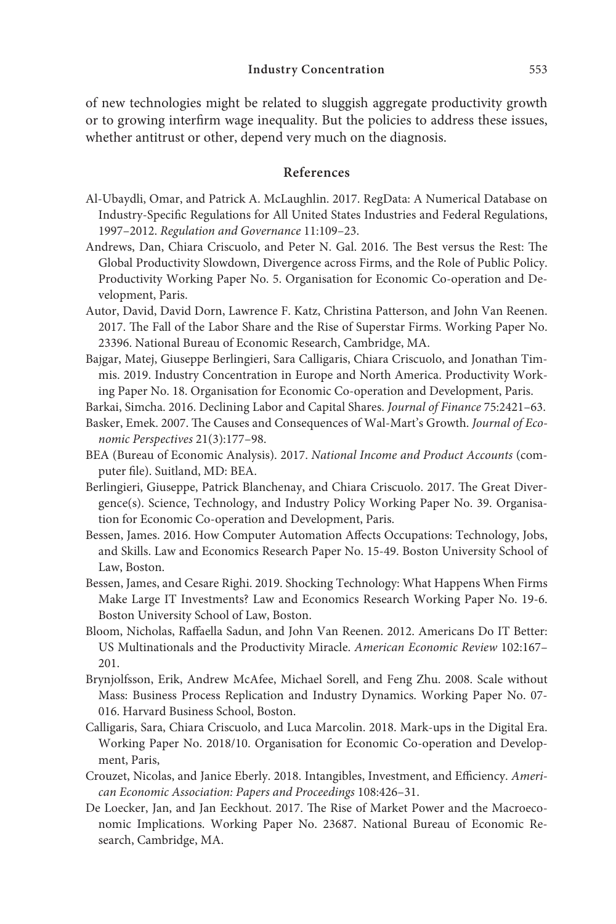of new technologies might be related to sluggish aggregate productivity growth or to growing interfirm wage inequality. But the policies to address these issues, whether antitrust or other, depend very much on the diagnosis.

# **References**

- Al‐Ubaydli, Omar, and Patrick A. McLaughlin. 2017. RegData: A Numerical Database on Industry‐Specific Regulations for All United States Industries and Federal Regulations, 1997–2012. *Regulation and Governance* 11:109–23.
- Andrews, Dan, Chiara Criscuolo, and Peter N. Gal. 2016. The Best versus the Rest: The Global Productivity Slowdown, Divergence across Firms, and the Role of Public Policy. Productivity Working Paper No. 5. Organisation for Economic Co-operation and Development, Paris.
- Autor, David, David Dorn, Lawrence F. Katz, Christina Patterson, and John Van Reenen. 2017. The Fall of the Labor Share and the Rise of Superstar Firms. Working Paper No. 23396. National Bureau of Economic Research, Cambridge, MA.
- Bajgar, Matej, Giuseppe Berlingieri, Sara Calligaris, Chiara Criscuolo, and Jonathan Timmis. 2019. Industry Concentration in Europe and North America. Productivity Working Paper No. 18. Organisation for Economic Co-operation and Development, Paris.

Barkai, Simcha. 2016. Declining Labor and Capital Shares. *Journal of Finance* 75:2421–63.

- Basker, Emek. 2007. The Causes and Consequences of Wal-Mart's Growth. *Journal of Economic Perspectives* 21(3):177–98.
- BEA (Bureau of Economic Analysis). 2017. *National Income and Product Accounts* (computer file). Suitland, MD: BEA.
- Berlingieri, Giuseppe, Patrick Blanchenay, and Chiara Criscuolo. 2017. The Great Divergence(s). Science, Technology, and Industry Policy Working Paper No. 39. Organisation for Economic Co-operation and Development, Paris.
- Bessen, James. 2016. How Computer Automation Affects Occupations: Technology, Jobs, and Skills. Law and Economics Research Paper No. 15-49. Boston University School of Law, Boston.
- Bessen, James, and Cesare Righi. 2019. Shocking Technology: What Happens When Firms Make Large IT Investments? Law and Economics Research Working Paper No. 19-6. Boston University School of Law, Boston.
- Bloom, Nicholas, Raffaella Sadun, and John Van Reenen. 2012. Americans Do IT Better: US Multinationals and the Productivity Miracle. *American Economic Review* 102:167– 201.
- Brynjolfsson, Erik, Andrew McAfee, Michael Sorell, and Feng Zhu. 2008. Scale without Mass: Business Process Replication and Industry Dynamics. Working Paper No. 07- 016. Harvard Business School, Boston.
- Calligaris, Sara, Chiara Criscuolo, and Luca Marcolin. 2018. Mark-ups in the Digital Era. Working Paper No. 2018/10. Organisation for Economic Co-operation and Development, Paris,
- Crouzet, Nicolas, and Janice Eberly. 2018. Intangibles, Investment, and Efficiency. *American Economic Association: Papers and Proceedings* 108:426–31.
- De Loecker, Jan, and Jan Eeckhout. 2017. The Rise of Market Power and the Macroeconomic Implications. Working Paper No. 23687. National Bureau of Economic Research, Cambridge, MA.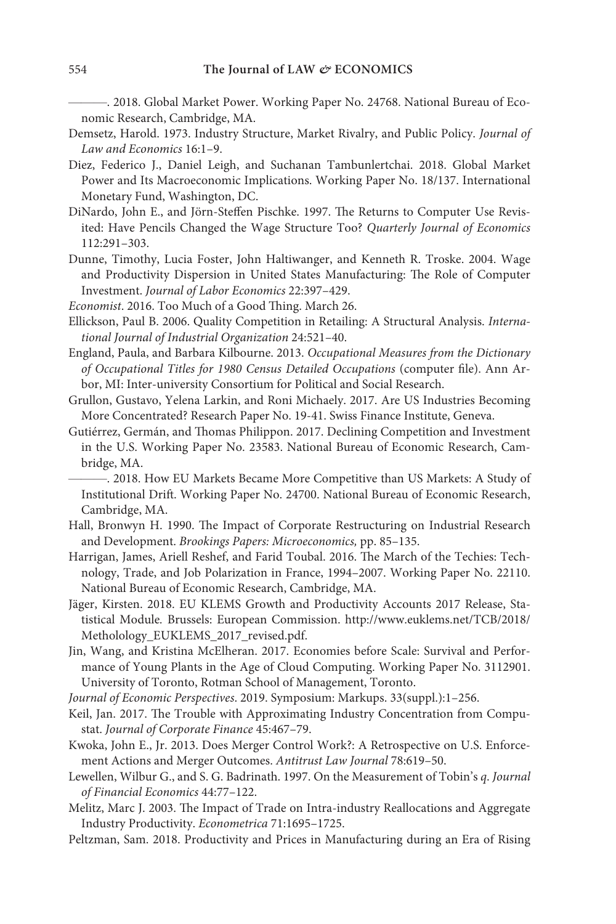———. 2018. Global Market Power. Working Paper No. 24768. National Bureau of Economic Research, Cambridge, MA.

- Demsetz, Harold. 1973. Industry Structure, Market Rivalry, and Public Policy. *Journal of Law and Economics* 16:1–9.
- Diez, Federico J., Daniel Leigh, and Suchanan Tambunlertchai. 2018. Global Market Power and Its Macroeconomic Implications. Working Paper No. 18/137. International Monetary Fund, Washington, DC.
- DiNardo, John E., and Jörn-Steffen Pischke. 1997. The Returns to Computer Use Revisited: Have Pencils Changed the Wage Structure Too? *Quarterly Journal of Economics* 112:291–303.
- Dunne, Timothy, Lucia Foster, John Haltiwanger, and Kenneth R. Troske. 2004. Wage and Productivity Dispersion in United States Manufacturing: The Role of Computer Investment. *Journal of Labor Economics* 22:397–429.
- *Economist*. 2016. Too Much of a Good Thing. March 26.
- Ellickson, Paul B. 2006. Quality Competition in Retailing: A Structural Analysis. *International Journal of Industrial Organization* 24:521–40.
- England, Paula, and Barbara Kilbourne. 2013. *Occupational Measures from the Dictionary of Occupational Titles for 1980 Census Detailed Occupations* (computer file). Ann Arbor, MI: Inter-university Consortium for Political and Social Research.
- Grullon, Gustavo, Yelena Larkin, and Roni Michaely. 2017. Are US Industries Becoming More Concentrated? Research Paper No. 19-41. Swiss Finance Institute, Geneva.
- Gutiérrez, Germán, and Thomas Philippon. 2017. Declining Competition and Investment in the U.S. Working Paper No. 23583. National Bureau of Economic Research, Cambridge, MA.
	- ———. 2018. How EU Markets Became More Competitive than US Markets: A Study of Institutional Drift. Working Paper No. 24700. National Bureau of Economic Research, Cambridge, MA.
- Hall, Bronwyn H. 1990. The Impact of Corporate Restructuring on Industrial Research and Development. *Brookings Papers: Microeconomics,* pp. 85–135.
- Harrigan, James, Ariell Reshef, and Farid Toubal. 2016. The March of the Techies: Technology, Trade, and Job Polarization in France, 1994–2007. Working Paper No. 22110. National Bureau of Economic Research, Cambridge, MA.
- Jäger, Kirsten. 2018. EU KLEMS Growth and Productivity Accounts 2017 Release, Statistical Module*.* Brussels: European Commission. http://www.euklems.net/TCB/2018/ Metholology\_EUKLEMS\_2017\_revised.pdf.
- Jin, Wang, and Kristina McElheran. 2017. Economies before Scale: Survival and Performance of Young Plants in the Age of Cloud Computing. Working Paper No. 3112901. University of Toronto, Rotman School of Management, Toronto.
- *Journal of Economic Perspectives*. 2019. Symposium: Markups. 33(suppl.):1–256.
- Keil, Jan. 2017. The Trouble with Approximating Industry Concentration from Compustat. *Journal of Corporate Finance* 45:467–79.
- Kwoka, John E., Jr. 2013. Does Merger Control Work?: A Retrospective on U.S. Enforcement Actions and Merger Outcomes. *Antitrust Law Journal* 78:619–50.
- Lewellen, Wilbur G., and S. G. Badrinath. 1997. On the Measurement of Tobin's *q*. *Journal of Financial Economics* 44:77–122.
- Melitz, Marc J. 2003. The Impact of Trade on Intra-industry Reallocations and Aggregate Industry Productivity. *Econometrica* 71:1695–1725.
- Peltzman, Sam. 2018. Productivity and Prices in Manufacturing during an Era of Rising